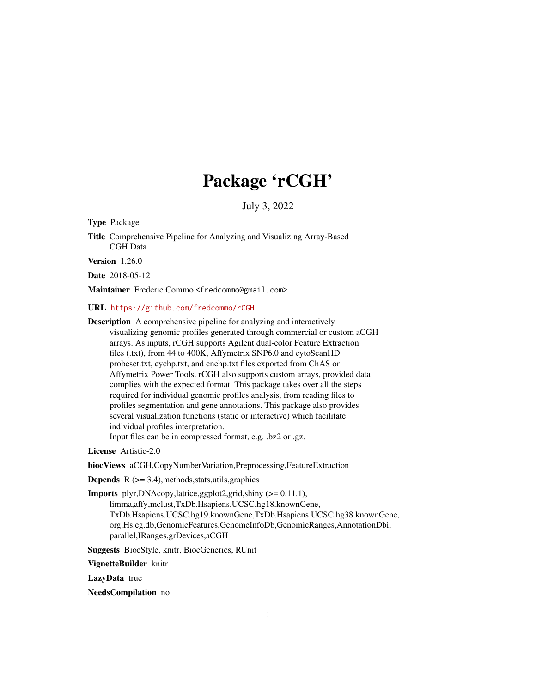# Package 'rCGH'

July 3, 2022

<span id="page-0-0"></span>Type Package

Title Comprehensive Pipeline for Analyzing and Visualizing Array-Based CGH Data

Version 1.26.0

Date 2018-05-12

Maintainer Frederic Commo<fredcommo@gmail.com>

URL <https://github.com/fredcommo/rCGH>

Description A comprehensive pipeline for analyzing and interactively visualizing genomic profiles generated through commercial or custom aCGH arrays. As inputs, rCGH supports Agilent dual-color Feature Extraction files (.txt), from 44 to 400K, Affymetrix SNP6.0 and cytoScanHD probeset.txt, cychp.txt, and cnchp.txt files exported from ChAS or Affymetrix Power Tools. rCGH also supports custom arrays, provided data complies with the expected format. This package takes over all the steps required for individual genomic profiles analysis, from reading files to profiles segmentation and gene annotations. This package also provides several visualization functions (static or interactive) which facilitate individual profiles interpretation.

Input files can be in compressed format, e.g. .bz2 or .gz.

License Artistic-2.0

biocViews aCGH,CopyNumberVariation,Preprocessing,FeatureExtraction

**Depends**  $R$  ( $>= 3.4$ ), methods, stats, utils, graphics

Imports plyr,DNAcopy,lattice,ggplot2,grid,shiny (>= 0.11.1), limma,affy,mclust,TxDb.Hsapiens.UCSC.hg18.knownGene, TxDb.Hsapiens.UCSC.hg19.knownGene,TxDb.Hsapiens.UCSC.hg38.knownGene, org.Hs.eg.db,GenomicFeatures,GenomeInfoDb,GenomicRanges,AnnotationDbi, parallel,IRanges,grDevices,aCGH

Suggests BiocStyle, knitr, BiocGenerics, RUnit

VignetteBuilder knitr

LazyData true

NeedsCompilation no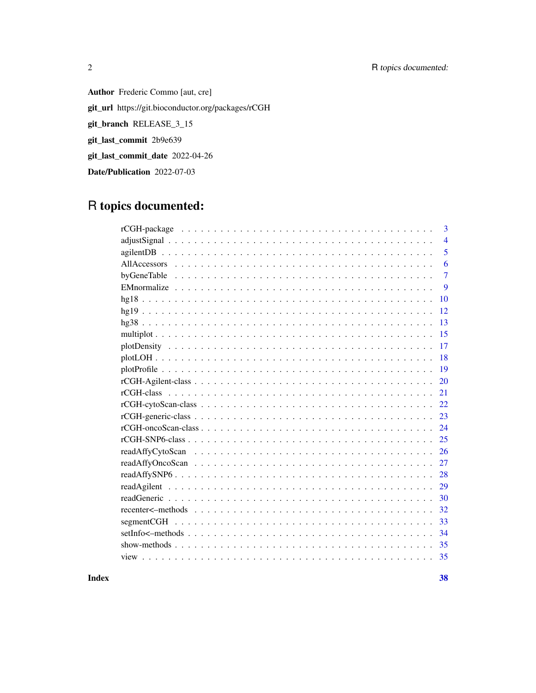## 2 R topics documented:

Author Frederic Commo [aut, cre] git\_url https://git.bioconductor.org/packages/rCGH git\_branch RELEASE\_3\_15 git\_last\_commit 2b9e639 git\_last\_commit\_date 2022-04-26 Date/Publication 2022-07-03

## R topics documented:

| 3              |
|----------------|
| $\overline{4}$ |
| 5              |
| 6              |
| $\overline{7}$ |
| 9              |
| 10             |
| 12             |
| 13             |
| 15             |
| 17             |
| 18             |
| 19             |
| 20             |
| 21             |
| 22             |
| 23             |
| 24             |
| 25             |
| 26             |
| 27             |
| 28             |
| 29             |
| 30             |
| 32             |
| 33             |
| 34             |
| 35             |
| 35             |
|                |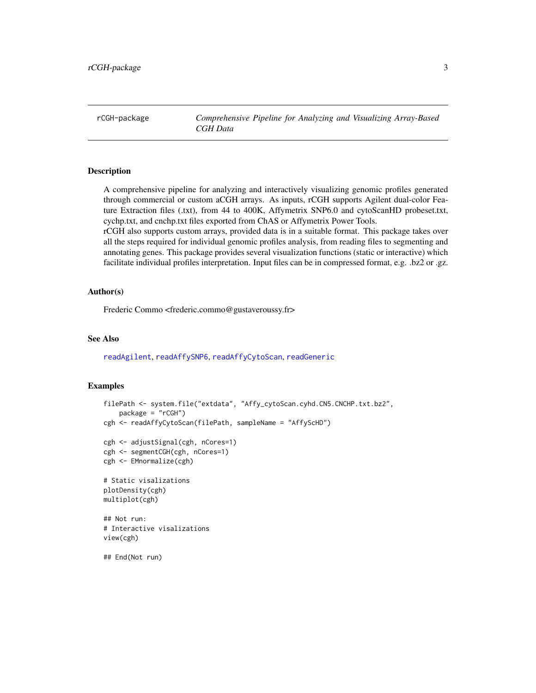<span id="page-2-0"></span>rCGH-package *Comprehensive Pipeline for Analyzing and Visualizing Array-Based CGH Data*

#### <span id="page-2-1"></span>Description

A comprehensive pipeline for analyzing and interactively visualizing genomic profiles generated through commercial or custom aCGH arrays. As inputs, rCGH supports Agilent dual-color Feature Extraction files (.txt), from 44 to 400K, Affymetrix SNP6.0 and cytoScanHD probeset.txt, cychp.txt, and cnchp.txt files exported from ChAS or Affymetrix Power Tools.

rCGH also supports custom arrays, provided data is in a suitable format. This package takes over all the steps required for individual genomic profiles analysis, from reading files to segmenting and annotating genes. This package provides several visualization functions (static or interactive) which facilitate individual profiles interpretation. Input files can be in compressed format, e.g. .bz2 or .gz.

## Author(s)

Frederic Commo <frederic.commo@gustaveroussy.fr>

## See Also

[readAgilent](#page-28-1), [readAffySNP6](#page-27-1), [readAffyCytoScan](#page-25-1), [readGeneric](#page-29-1)

```
filePath <- system.file("extdata", "Affy_cytoScan.cyhd.CN5.CNCHP.txt.bz2",
   package = "rCGH")
cgh <- readAffyCytoScan(filePath, sampleName = "AffyScHD")
cgh <- adjustSignal(cgh, nCores=1)
cgh <- segmentCGH(cgh, nCores=1)
cgh <- EMnormalize(cgh)
# Static visalizations
plotDensity(cgh)
multiplot(cgh)
## Not run:
# Interactive visalizations
view(cgh)
## End(Not run)
```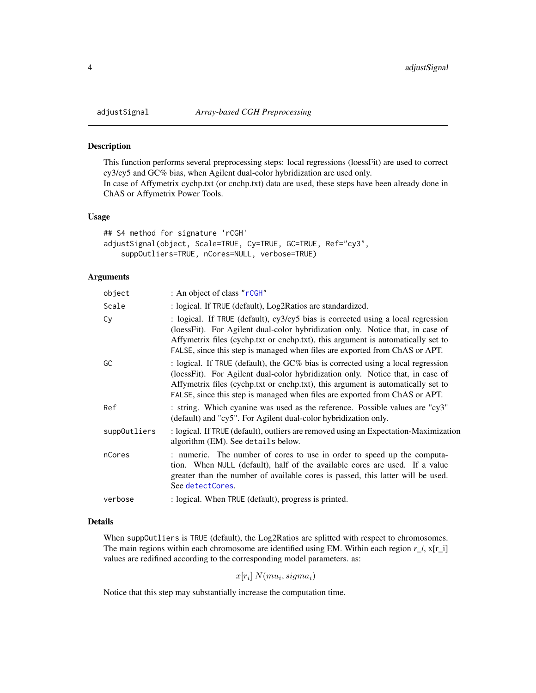#### Description

This function performs several preprocessing steps: local regressions (loessFit) are used to correct cy3/cy5 and GC% bias, when Agilent dual-color hybridization are used only. In case of Affymetrix cychp.txt (or cnchp.txt) data are used, these steps have been already done in ChAS or Affymetrix Power Tools.

#### Usage

```
## S4 method for signature 'rCGH'
adjustSignal(object, Scale=TRUE, Cy=TRUE, GC=TRUE, Ref="cy3",
    suppOutliers=TRUE, nCores=NULL, verbose=TRUE)
```
#### Arguments

| object       | : An object of class "rCGH"                                                                                                                                                                                                                                                                                                              |
|--------------|------------------------------------------------------------------------------------------------------------------------------------------------------------------------------------------------------------------------------------------------------------------------------------------------------------------------------------------|
| Scale        | : logical. If TRUE (default), Log2Ratios are standardized.                                                                                                                                                                                                                                                                               |
| Сy           | : logical. If TRUE (default), cy3/cy5 bias is corrected using a local regression<br>(loessFit). For Agilent dual-color hybridization only. Notice that, in case of<br>Affymetrix files (cychp.txt or cnchp.txt), this argument is automatically set to<br>FALSE, since this step is managed when files are exported from ChAS or APT.    |
| GC           | : logical. If TRUE (default), the $GC\%$ bias is corrected using a local regression<br>(loessFit). For Agilent dual-color hybridization only. Notice that, in case of<br>Affymetrix files (cychp.txt or cnchp.txt), this argument is automatically set to<br>FALSE, since this step is managed when files are exported from ChAS or APT. |
| Ref          | : string. Which cyanine was used as the reference. Possible values are "cy3"<br>(default) and "cy5". For Agilent dual-color hybridization only.                                                                                                                                                                                          |
| suppOutliers | : logical. If TRUE (default), outliers are removed using an Expectation-Maximization<br>algorithm (EM). See details below.                                                                                                                                                                                                               |
| nCores       | : numeric. The number of cores to use in order to speed up the computa-<br>tion. When NULL (default), half of the available cores are used. If a value<br>greater than the number of available cores is passed, this latter will be used.<br>See detectCores.                                                                            |
| verbose      | : logical. When TRUE (default), progress is printed.                                                                                                                                                                                                                                                                                     |

## Details

When suppOutliers is TRUE (default), the Log2Ratios are splitted with respect to chromosomes. The main regions within each chromosome are identified using EM. Within each region *r\_i*, x[r\_i] values are redifined according to the corresponding model parameters. as:

 $x[r_i] \ N(mu_i, sigma_i)$ 

Notice that this step may substantially increase the computation time.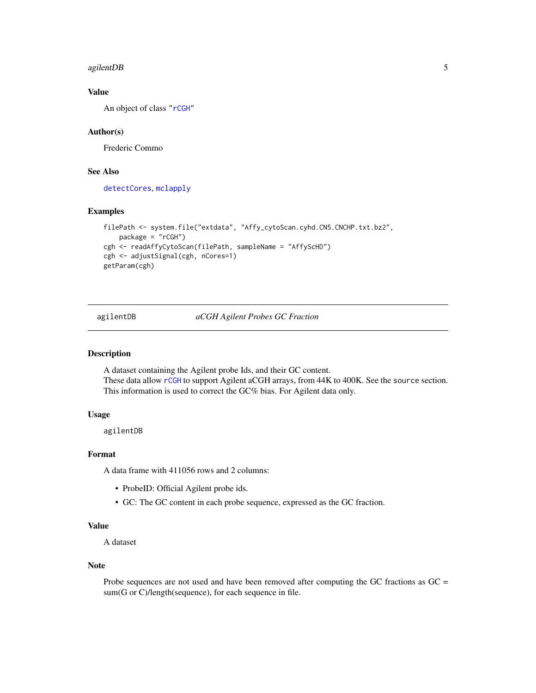#### <span id="page-4-0"></span>agilentDB 5

## Value

An object of class ["rCGH"](#page-20-1)

## Author(s)

Frederic Commo

## See Also

[detectCores](#page-0-0), [mclapply](#page-0-0)

#### Examples

```
filePath <- system.file("extdata", "Affy_cytoScan.cyhd.CN5.CNCHP.txt.bz2",
   package = "rCGH")cgh <- readAffyCytoScan(filePath, sampleName = "AffyScHD")
cgh <- adjustSignal(cgh, nCores=1)
getParam(cgh)
```
agilentDB *aCGH Agilent Probes GC Fraction*

#### Description

A dataset containing the Agilent probe Ids, and their GC content. These data allow [rCGH](#page-2-1) to support Agilent aCGH arrays, from 44K to 400K. See the source section. This information is used to correct the GC% bias. For Agilent data only.

## Usage

agilentDB

#### Format

A data frame with 411056 rows and 2 columns:

- ProbeID: Official Agilent probe ids.
- GC: The GC content in each probe sequence, expressed as the GC fraction.

## Value

A dataset

#### Note

Probe sequences are not used and have been removed after computing the GC fractions as GC = sum(G or C)/length(sequence), for each sequence in file.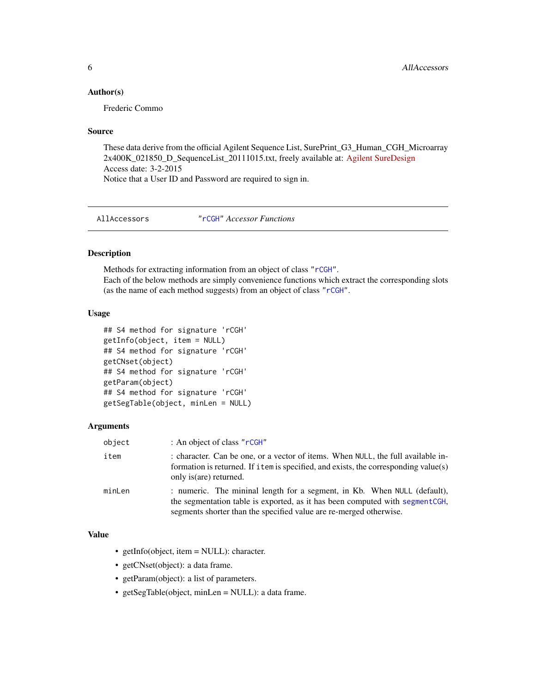#### <span id="page-5-0"></span>Author(s)

Frederic Commo

#### Source

These data derive from the official Agilent Sequence List, SurePrint\_G3\_Human\_CGH\_Microarray 2x400K\_021850\_D\_SequenceList\_20111015.txt, freely available at: [Agilent SureDesign](https://earray.chem.agilent.com/suredesign/index.htm) Access date: 3-2-2015 Notice that a User ID and Password are required to sign in.

AllAccessors ["rCGH"](#page-20-1) *Accessor Functions*

## <span id="page-5-1"></span>Description

Methods for extracting information from an object of class ["rCGH"](#page-20-1). Each of the below methods are simply convenience functions which extract the corresponding slots (as the name of each method suggests) from an object of class ["rCGH"](#page-20-1).

#### Usage

```
## S4 method for signature 'rCGH'
getInfo(object, item = NULL)
## S4 method for signature 'rCGH'
getCNset(object)
## S4 method for signature 'rCGH'
getParam(object)
## S4 method for signature 'rCGH'
getSegTable(object, minLen = NULL)
```
#### Arguments

| object | : An object of class " $r$ CGH"                                                                                                                                                                                                 |
|--------|---------------------------------------------------------------------------------------------------------------------------------------------------------------------------------------------------------------------------------|
| item   | : character. Can be one, or a vector of items. When NULL, the full available in-<br>formation is returned. If item is specified, and exists, the corresponding value(s)<br>only is (are) returned.                              |
| minLen | : numeric. The mininal length for a segment, in Kb. When NULL (default),<br>the segmentation table is exported, as it has been computed with segment CGH,<br>segments shorter than the specified value are re-merged otherwise. |

## Value

- getInfo(object, item = NULL): character.
- getCNset(object): a data frame.
- getParam(object): a list of parameters.
- getSegTable(object, minLen = NULL): a data frame.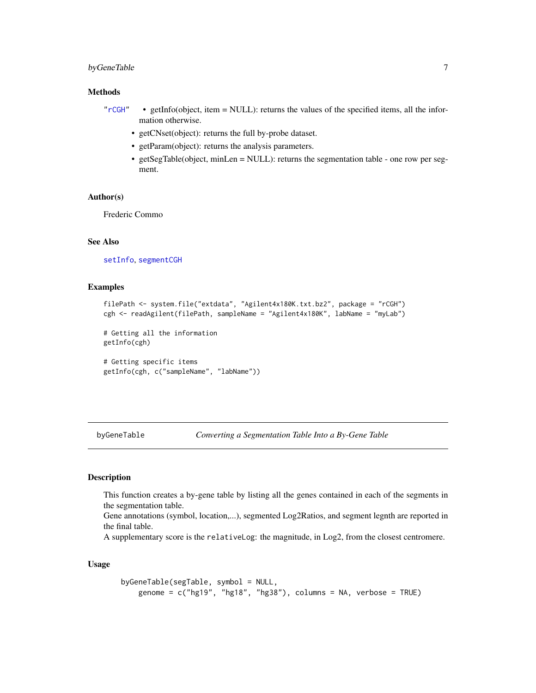## <span id="page-6-0"></span>byGeneTable 7 7

## Methods

- ["rCGH"](#page-20-1) getInfo(object, item = NULL): returns the values of the specified items, all the information otherwise.
	- getCNset(object): returns the full by-probe dataset.
	- getParam(object): returns the analysis parameters.
	- getSegTable(object, minLen = NULL): returns the segmentation table one row per segment.

## Author(s)

Frederic Commo

#### See Also

[setInfo](#page-33-1), [segmentCGH](#page-32-1)

#### Examples

```
filePath <- system.file("extdata", "Agilent4x180K.txt.bz2", package = "rCGH")
cgh <- readAgilent(filePath, sampleName = "Agilent4x180K", labName = "myLab")
```
# Getting all the information getInfo(cgh)

# Getting specific items getInfo(cgh, c("sampleName", "labName"))

byGeneTable *Converting a Segmentation Table Into a By-Gene Table*

## Description

This function creates a by-gene table by listing all the genes contained in each of the segments in the segmentation table.

Gene annotations (symbol, location,...), segmented Log2Ratios, and segment legnth are reported in the final table.

A supplementary score is the relativeLog: the magnitude, in Log2, from the closest centromere.

## Usage

```
byGeneTable(segTable, symbol = NULL,
   genome = c("hg19", "hg18", "hg38"), colums = NA, verbose = TRUE)
```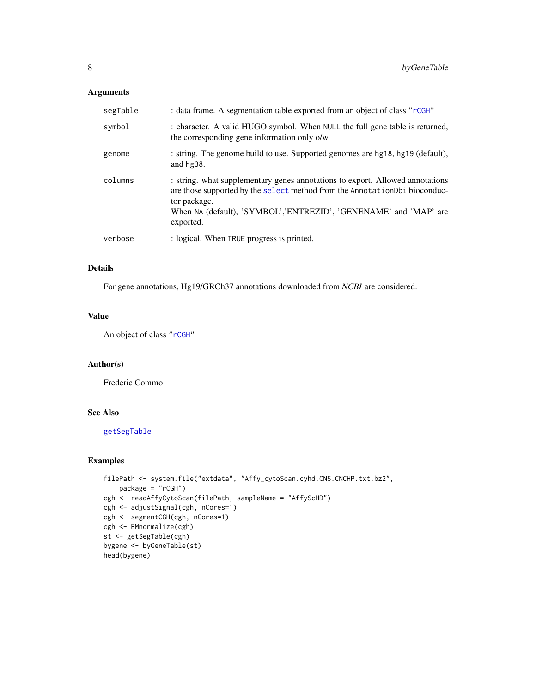## <span id="page-7-0"></span>Arguments

| segTable | : data frame. A segmentation table exported from an object of class "rCGH"                                                                                                                                                                                   |
|----------|--------------------------------------------------------------------------------------------------------------------------------------------------------------------------------------------------------------------------------------------------------------|
| symbol   | : character. A valid HUGO symbol. When NULL the full gene table is returned,<br>the corresponding gene information only o/w.                                                                                                                                 |
| genome   | : string. The genome build to use. Supported genomes are hg18, hg19 (default),<br>and hg38.                                                                                                                                                                  |
| columns  | : string. what supplementary genes annotations to export. Allowed annotations<br>are those supported by the select method from the AnnotationDbi bioconduc-<br>tor package.<br>When NA (default), 'SYMBOL','ENTREZID', 'GENENAME' and 'MAP' are<br>exported. |
| verbose  | : logical. When TRUE progress is printed.                                                                                                                                                                                                                    |

## Details

For gene annotations, Hg19/GRCh37 annotations downloaded from *NCBI* are considered.

#### Value

An object of class ["rCGH"](#page-20-1)

#### Author(s)

Frederic Commo

## See Also

[getSegTable](#page-5-1)

```
filePath <- system.file("extdata", "Affy_cytoScan.cyhd.CN5.CNCHP.txt.bz2",
   package = "rCGH")
cgh <- readAffyCytoScan(filePath, sampleName = "AffyScHD")
cgh <- adjustSignal(cgh, nCores=1)
cgh <- segmentCGH(cgh, nCores=1)
cgh <- EMnormalize(cgh)
st <- getSegTable(cgh)
bygene <- byGeneTable(st)
head(bygene)
```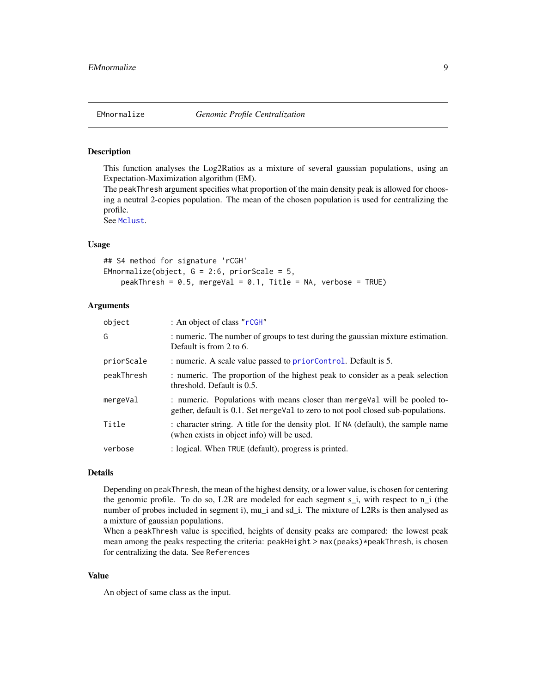<span id="page-8-1"></span><span id="page-8-0"></span>

#### Description

This function analyses the Log2Ratios as a mixture of several gaussian populations, using an Expectation-Maximization algorithm (EM).

The peakThresh argument specifies what proportion of the main density peak is allowed for choosing a neutral 2-copies population. The mean of the chosen population is used for centralizing the profile.

See [Mclust](#page-0-0).

## Usage

## S4 method for signature 'rCGH' EMnormalize(object,  $G = 2:6$ , priorScale = 5, peakThresh =  $0.5$ , mergeVal =  $0.1$ , Title = NA, verbose = TRUE)

## Arguments

| object     | : An object of class "rCGH"                                                                                                                                   |
|------------|---------------------------------------------------------------------------------------------------------------------------------------------------------------|
| G          | : numeric. The number of groups to test during the gaussian mixture estimation.<br>Default is from 2 to 6.                                                    |
| priorScale | : numeric. A scale value passed to priorControl. Default is 5.                                                                                                |
| peakThresh | : numeric. The proportion of the highest peak to consider as a peak selection<br>threshold. Default is 0.5.                                                   |
| mergeVal   | : numeric. Populations with means closer than mergeval will be pooled to-<br>gether, default is 0.1. Set mergeVal to zero to not pool closed sub-populations. |
| Title      | : character string. A title for the density plot. If NA (default), the sample name<br>(when exists in object info) will be used.                              |
| verbose    | : logical. When TRUE (default), progress is printed.                                                                                                          |

#### Details

Depending on peakThresh, the mean of the highest density, or a lower value, is chosen for centering the genomic profile. To do so, L2R are modeled for each segment  $s_i$ , with respect to  $n_i$  (the number of probes included in segment i), mu\_i and sd\_i. The mixture of L2Rs is then analysed as a mixture of gaussian populations.

When a peakThresh value is specified, heights of density peaks are compared: the lowest peak mean among the peaks respecting the criteria: peakHeight > max(peaks)\*peakThresh, is chosen for centralizing the data. See References

#### Value

An object of same class as the input.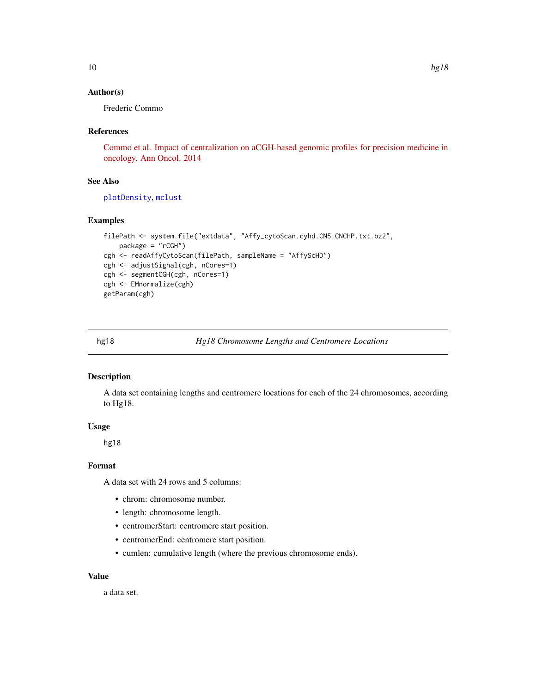#### <span id="page-9-0"></span>Author(s)

Frederic Commo

#### References

[Commo et al. Impact of centralization on aCGH-based genomic profiles for precision medicine in](http://www.ncbi.nlm.nih.gov/pubmed/25538175) [oncology. Ann Oncol. 2014](http://www.ncbi.nlm.nih.gov/pubmed/25538175)

#### See Also

[plotDensity](#page-16-1), [mclust](#page-0-0)

## Examples

```
filePath <- system.file("extdata", "Affy_cytoScan.cyhd.CN5.CNCHP.txt.bz2",
   package = "rCGH")
cgh <- readAffyCytoScan(filePath, sampleName = "AffyScHD")
cgh <- adjustSignal(cgh, nCores=1)
cgh <- segmentCGH(cgh, nCores=1)
cgh <- EMnormalize(cgh)
getParam(cgh)
```
## Description

A data set containing lengths and centromere locations for each of the 24 chromosomes, according to Hg18.

#### Usage

hg18

## Format

A data set with 24 rows and 5 columns:

- chrom: chromosome number.
- length: chromosome length.
- centromerStart: centromere start position.
- centromerEnd: centromere start position.
- cumlen: cumulative length (where the previous chromosome ends).

## Value

a data set.

hg18 *Hg18 Chromosome Lengths and Centromere Locations*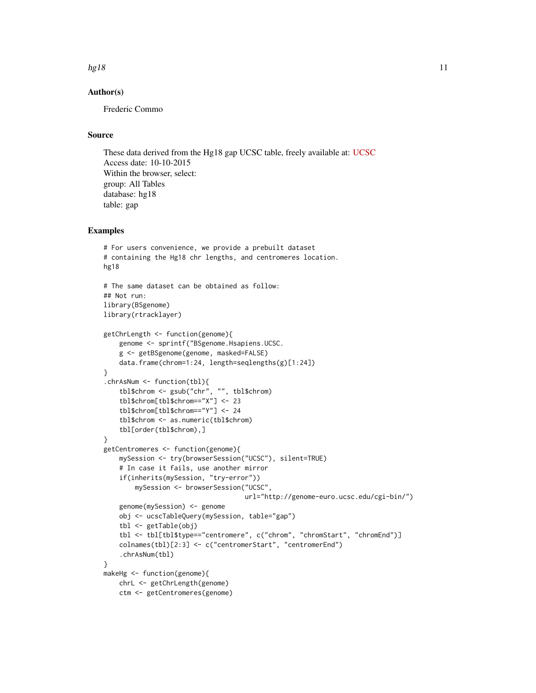#### hg18  $11$

## Author(s)

Frederic Commo

## Source

These data derived from the Hg18 gap UCSC table, freely available at: [UCSC](http://genome.ucsc.edu/cgi-bin/hgTables) Access date: 10-10-2015 Within the browser, select: group: All Tables database: hg18 table: gap

```
# For users convenience, we provide a prebuilt dataset
# containing the Hg18 chr lengths, and centromeres location.
hg18
# The same dataset can be obtained as follow:
## Not run:
library(BSgenome)
library(rtracklayer)
getChrLength <- function(genome){
    genome <- sprintf("BSgenome.Hsapiens.UCSC.
    g <- getBSgenome(genome, masked=FALSE)
    data.frame(chrom=1:24, length=seqlengths(g)[1:24])
}
.chrAsNum <- function(tbl){
    tbl$chrom <- gsub("chr", "", tbl$chrom)
    tbl$chrom[tbl$chrom=="X"] <- 23
    tbl$chrom[tbl$chrom=="Y"] <- 24
    tbl$chrom <- as.numeric(tbl$chrom)
    tbl[order(tbl$chrom),]
}
getCentromeres <- function(genome){
    mySession <- try(browserSession("UCSC"), silent=TRUE)
    # In case it fails, use another mirror
    if(inherits(mySession, "try-error"))
        mySession <- browserSession("UCSC",
                                    url="http://genome-euro.ucsc.edu/cgi-bin/")
    genome(mySession) <- genome
    obj <- ucscTableQuery(mySession, table="gap")
    tbl <- getTable(obj)
    tbl <- tbl[tbl$type=="centromere", c("chrom", "chromStart", "chromEnd")]
    colnames(tbl)[2:3] <- c("centromerStart", "centromerEnd")
    .chrAsNum(tbl)
}
makeHg <- function(genome){
   chrL <- getChrLength(genome)
   ctm <- getCentromeres(genome)
```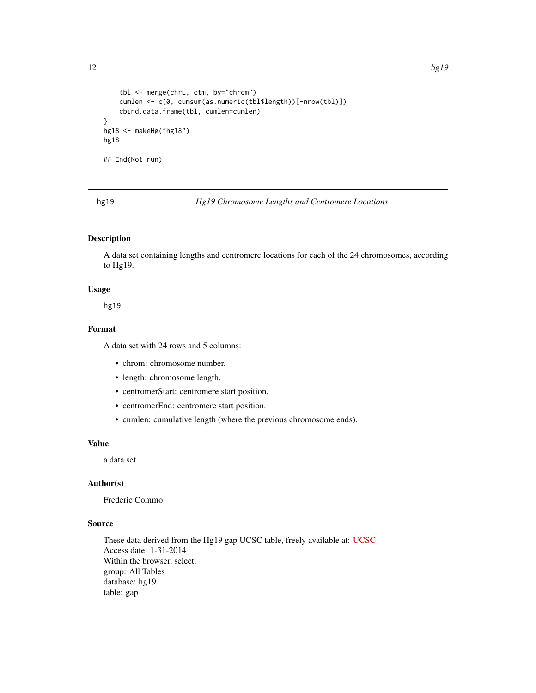```
tbl <- merge(chrL, ctm, by="chrom")
    cumlen <- c(0, cumsum(as.numeric(tbl$length))[-nrow(tbl)])
    cbind.data.frame(tbl, cumlen=cumlen)
}
hg18 <- makeHg("hg18")
hg18
## End(Not run)
```
hg19 *Hg19 Chromosome Lengths and Centromere Locations*

## Description

A data set containing lengths and centromere locations for each of the 24 chromosomes, according to Hg19.

## Usage

hg19

## Format

A data set with 24 rows and 5 columns:

- chrom: chromosome number.
- length: chromosome length.
- centromerStart: centromere start position.
- centromerEnd: centromere start position.
- cumlen: cumulative length (where the previous chromosome ends).

## Value

a data set.

## Author(s)

Frederic Commo

## Source

These data derived from the Hg19 gap UCSC table, freely available at: [UCSC](http://genome.ucsc.edu/cgi-bin/hgTables) Access date: 1-31-2014 Within the browser, select: group: All Tables database: hg19 table: gap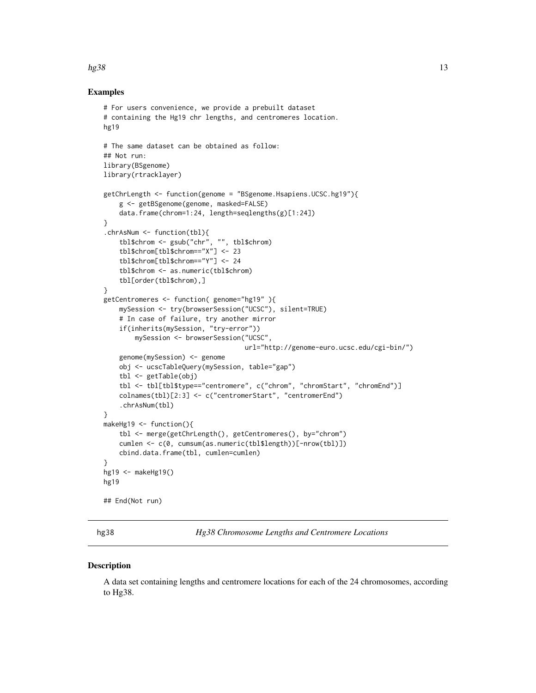#### <span id="page-12-0"></span> $hg38$  13

#### Examples

```
# For users convenience, we provide a prebuilt dataset
# containing the Hg19 chr lengths, and centromeres location.
hg19
# The same dataset can be obtained as follow:
## Not run:
library(BSgenome)
library(rtracklayer)
getChrLength <- function(genome = "BSgenome.Hsapiens.UCSC.hg19"){
    g <- getBSgenome(genome, masked=FALSE)
    data.frame(chrom=1:24, length=seqlengths(g)[1:24])
}
.chrAsNum <- function(tbl){
    tbl$chrom <- gsub("chr", "", tbl$chrom)
    tbl$chrom[tbl$chrom=="X"] <- 23
    tbl$chrom[tbl$chrom=="Y"] <- 24
    tbl$chrom <- as.numeric(tbl$chrom)
    tbl[order(tbl$chrom),]
}
getCentromeres <- function( genome="hg19" ){
    mySession <- try(browserSession("UCSC"), silent=TRUE)
    # In case of failure, try another mirror
    if(inherits(mySession, "try-error"))
        mySession <- browserSession("UCSC",
                                    url="http://genome-euro.ucsc.edu/cgi-bin/")
    genome(mySession) <- genome
    obj <- ucscTableQuery(mySession, table="gap")
    tbl <- getTable(obj)
    tbl <- tbl[tbl$type=="centromere", c("chrom", "chromStart", "chromEnd")]
    colnames(tbl)[2:3] <- c("centromerStart", "centromerEnd")
    .chrAsNum(tbl)
}
makeHg19 <- function(){
    tbl <- merge(getChrLength(), getCentromeres(), by="chrom")
    cumlen <- c(0, cumsum(as.numeric(tbl$length))[-nrow(tbl)])
    cbind.data.frame(tbl, cumlen=cumlen)
}
hg19 <- makeHg19()
hg19
## End(Not run)
```
hg38 *Hg38 Chromosome Lengths and Centromere Locations*

#### **Description**

A data set containing lengths and centromere locations for each of the 24 chromosomes, according to Hg38.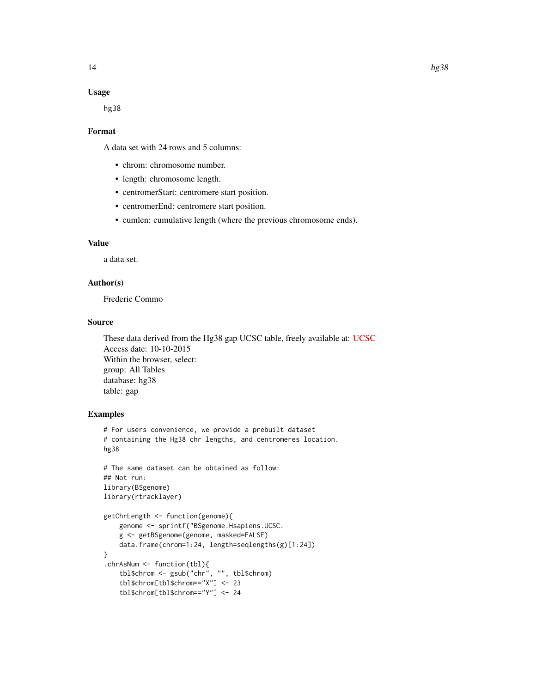#### Usage

hg38

#### Format

A data set with 24 rows and 5 columns:

- chrom: chromosome number.
- length: chromosome length.
- centromerStart: centromere start position.
- centromerEnd: centromere start position.
- cumlen: cumulative length (where the previous chromosome ends).

## Value

a data set.

## Author(s)

Frederic Commo

## Source

These data derived from the Hg38 gap UCSC table, freely available at: [UCSC](http://genome.ucsc.edu/cgi-bin/hgTables) Access date: 10-10-2015 Within the browser, select: group: All Tables database: hg38 table: gap

```
# For users convenience, we provide a prebuilt dataset
# containing the Hg38 chr lengths, and centromeres location.
hg38
```

```
# The same dataset can be obtained as follow:
## Not run:
library(BSgenome)
library(rtracklayer)
```

```
getChrLength <- function(genome){
   genome <- sprintf("BSgenome.Hsapiens.UCSC.
   g <- getBSgenome(genome, masked=FALSE)
   data.frame(chrom=1:24, length=seqlengths(g)[1:24])
}
.chrAsNum <- function(tbl){
    tbl$chrom <- gsub("chr", "", tbl$chrom)
    tbl$chrom[tbl$chrom=="X"] <- 23
    tbl$chrom[tbl$chrom=="Y"] <- 24
```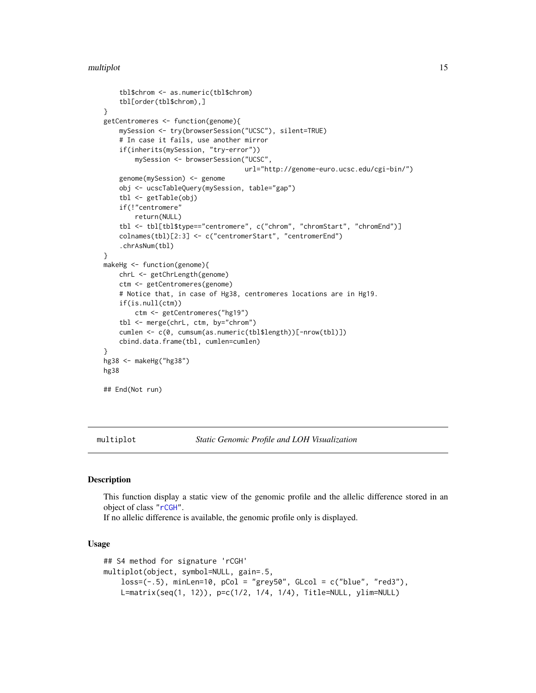```
tbl$chrom <- as.numeric(tbl$chrom)
    tbl[order(tbl$chrom),]
}
getCentromeres <- function(genome){
    mySession <- try(browserSession("UCSC"), silent=TRUE)
    # In case it fails, use another mirror
    if(inherits(mySession, "try-error"))
        mySession <- browserSession("UCSC",
                                    url="http://genome-euro.ucsc.edu/cgi-bin/")
    genome(mySession) <- genome
    obj <- ucscTableQuery(mySession, table="gap")
    tbl <- getTable(obj)
    if(!"centromere"
        return(NULL)
    tbl <- tbl[tbl$type=="centromere", c("chrom", "chromStart", "chromEnd")]
    colnames(tbl)[2:3] <- c("centromerStart", "centromerEnd")
    .chrAsNum(tbl)
}
makeHg <- function(genome){
    chrL <- getChrLength(genome)
    ctm <- getCentromeres(genome)
    # Notice that, in case of Hg38, centromeres locations are in Hg19.
    if(is.null(ctm))
        ctm <- getCentromeres("hg19")
    tbl <- merge(chrL, ctm, by="chrom")
    cumlen <- c(0, cumsum(as.numeric(tbl$length))[-nrow(tbl)])
    cbind.data.frame(tbl, cumlen=cumlen)
}
hg38 <- makeHg("hg38")
hg38
## End(Not run)
```
<span id="page-14-1"></span>multiplot *Static Genomic Profile and LOH Visualization*

#### Description

This function display a static view of the genomic profile and the allelic difference stored in an object of class ["rCGH"](#page-20-1).

If no allelic difference is available, the genomic profile only is displayed.

#### Usage

```
## S4 method for signature 'rCGH'
multiplot(object, symbol=NULL, gain=.5,
   loss=(-.5), minLen=10, pCol = "grey50", Glcol = c("blue", "red3"),L=matrix(seq(1, 12)), p=c(1/2, 1/4, 1/4), Title=NULL, ylim=NULL)
```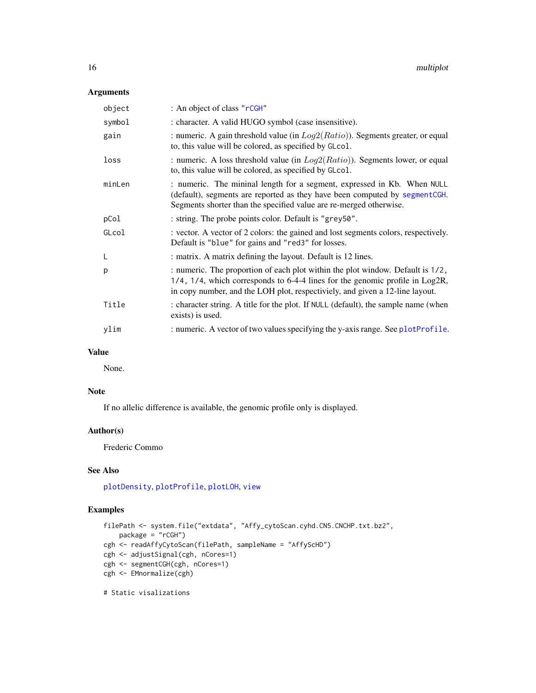## <span id="page-15-0"></span>Arguments

| object | : An object of class "rCGH"                                                                                                                                                                                                                    |
|--------|------------------------------------------------------------------------------------------------------------------------------------------------------------------------------------------------------------------------------------------------|
| symbol | : character. A valid HUGO symbol (case insensitive).                                                                                                                                                                                           |
| gain   | : numeric. A gain threshold value (in $Log2(Ratio)$ ). Segments greater, or equal<br>to, this value will be colored, as specified by GLcol.                                                                                                    |
| loss   | : numeric. A loss threshold value (in $Log2(Ratio)$ ). Segments lower, or equal<br>to, this value will be colored, as specified by GLcol.                                                                                                      |
| minLen | : numeric. The mininal length for a segment, expressed in Kb. When NULL<br>(default), segments are reported as they have been computed by segment CGH.<br>Segments shorter than the specified value are re-merged otherwise.                   |
| pCol   | : string. The probe points color. Default is "grey50".                                                                                                                                                                                         |
| GLcol  | : vector. A vector of 2 colors: the gained and lost segments colors, respectively.<br>Default is "blue" for gains and "red3" for losses.                                                                                                       |
| L      | : matrix. A matrix defining the layout. Default is 12 lines.                                                                                                                                                                                   |
| p      | : numeric. The proportion of each plot within the plot window. Default is 1/2,<br>1/4, 1/4, which corresponds to 6-4-4 lines for the genomic profile in Log2R,<br>in copy number, and the LOH plot, respectiviely, and given a 12-line layout. |
| Title  | : character string. A title for the plot. If NULL (default), the sample name (when<br>exists) is used.                                                                                                                                         |
| ylim   | : numeric. A vector of two values specifying the y-axis range. See plotProfile.                                                                                                                                                                |

## Value

None.

## Note

If no allelic difference is available, the genomic profile only is displayed.

## Author(s)

Frederic Commo

## See Also

[plotDensity](#page-16-1), [plotProfile](#page-18-1), [plotLOH](#page-17-1), [view](#page-34-1)

## Examples

```
filePath <- system.file("extdata", "Affy_cytoScan.cyhd.CN5.CNCHP.txt.bz2",
    package = "rCGH")
cgh <- readAffyCytoScan(filePath, sampleName = "AffyScHD")
cgh <- adjustSignal(cgh, nCores=1)
cgh <- segmentCGH(cgh, nCores=1)
cgh <- EMnormalize(cgh)
```
# Static visalizations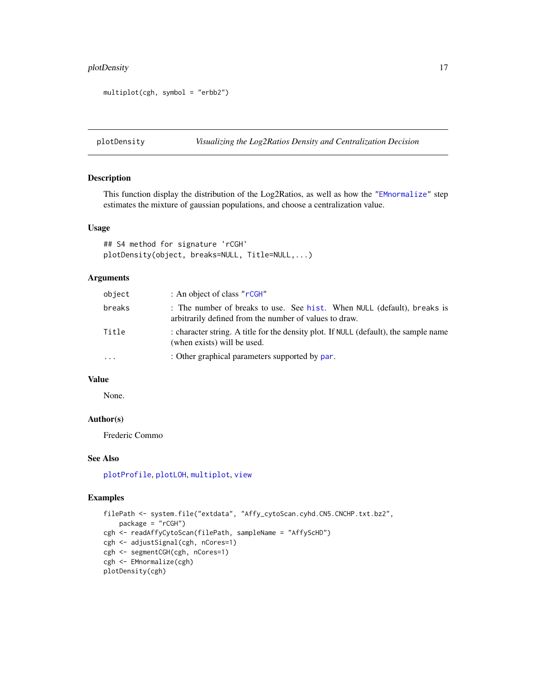## <span id="page-16-0"></span>plotDensity 17

```
multiplot(cgh, symbol = "erbb2")
```
<span id="page-16-1"></span>plotDensity *Visualizing the Log2Ratios Density and Centralization Decision*

## Description

This function display the distribution of the Log2Ratios, as well as how the ["EMnormalize"](#page-8-1) step estimates the mixture of gaussian populations, and choose a centralization value.

## Usage

## S4 method for signature 'rCGH' plotDensity(object, breaks=NULL, Title=NULL,...)

#### Arguments

| object   | : An object of class " $r$ CGH"                                                                                                   |
|----------|-----------------------------------------------------------------------------------------------------------------------------------|
| breaks   | : The number of breaks to use. See hist. When NULL (default), breaks is<br>arbitrarily defined from the number of values to draw. |
| Title    | : character string. A title for the density plot. If NULL (default), the sample name<br>(when exists) will be used.               |
| $\ddots$ | : Other graphical parameters supported by par.                                                                                    |

## Value

None.

## Author(s)

Frederic Commo

## See Also

[plotProfile](#page-18-1), [plotLOH](#page-17-1), [multiplot](#page-14-1), [view](#page-34-1)

```
filePath <- system.file("extdata", "Affy_cytoScan.cyhd.CN5.CNCHP.txt.bz2",
   package = "rCGH")
cgh <- readAffyCytoScan(filePath, sampleName = "AffyScHD")
cgh <- adjustSignal(cgh, nCores=1)
cgh <- segmentCGH(cgh, nCores=1)
cgh <- EMnormalize(cgh)
plotDensity(cgh)
```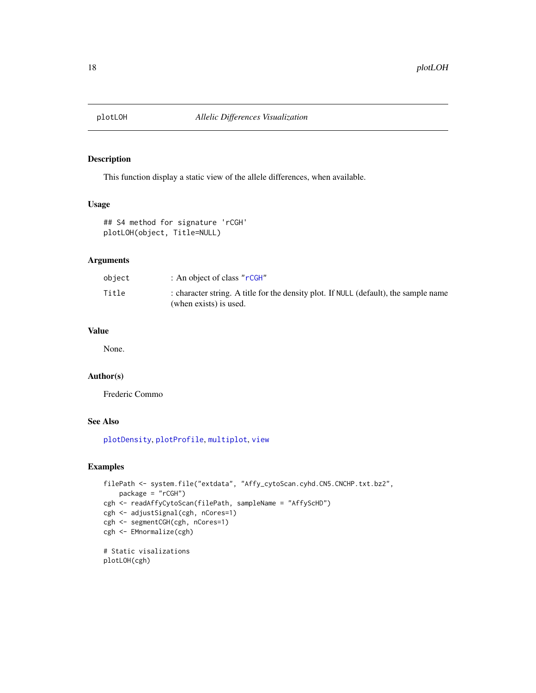<span id="page-17-1"></span><span id="page-17-0"></span>

## Description

This function display a static view of the allele differences, when available.

#### Usage

```
## S4 method for signature 'rCGH'
plotLOH(object, Title=NULL)
```
## Arguments

| object | : An object of class " $r$ CGH"                                                                                |
|--------|----------------------------------------------------------------------------------------------------------------|
| Title  | : character string. A title for the density plot. If NULL (default), the sample name<br>(when exists) is used. |

## Value

None.

## Author(s)

Frederic Commo

## See Also

[plotDensity](#page-16-1), [plotProfile](#page-18-1), [multiplot](#page-14-1), [view](#page-34-1)

## Examples

```
filePath <- system.file("extdata", "Affy_cytoScan.cyhd.CN5.CNCHP.txt.bz2",
    package = "rCGH")
cgh <- readAffyCytoScan(filePath, sampleName = "AffyScHD")
cgh <- adjustSignal(cgh, nCores=1)
cgh <- segmentCGH(cgh, nCores=1)
cgh <- EMnormalize(cgh)
# Static visalizations
```
plotLOH(cgh)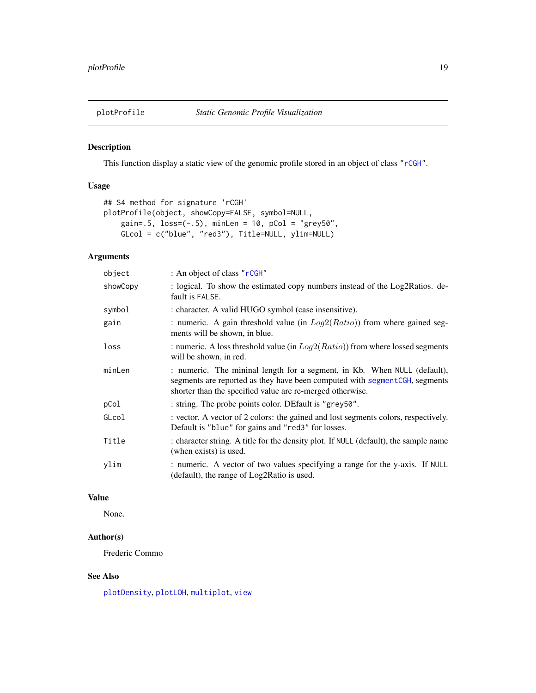<span id="page-18-1"></span><span id="page-18-0"></span>

## Description

This function display a static view of the genomic profile stored in an object of class ["rCGH"](#page-20-1).

## Usage

```
## S4 method for signature 'rCGH'
plotProfile(object, showCopy=FALSE, symbol=NULL,
   gain=.5, loss=(-.5), minLen = 10, pCol = "grey50",
   GLcol = c("blue", "red3"), Title=NULL, ylim=NULL)
```
## Arguments

| object   | : An object of class "rCGH"                                                                                                                                                                                          |
|----------|----------------------------------------------------------------------------------------------------------------------------------------------------------------------------------------------------------------------|
| showCopy | : logical. To show the estimated copy numbers instead of the Log2Ratios. de-<br>fault is FALSE.                                                                                                                      |
| symbol   | : character. A valid HUGO symbol (case insensitive).                                                                                                                                                                 |
| gain     | : numeric. A gain threshold value (in $Log2(Ratio)$ ) from where gained seg-<br>ments will be shown, in blue.                                                                                                        |
| loss     | : numeric. A loss threshold value (in $Log2(Ratio)$ ) from where lossed segments<br>will be shown, in red.                                                                                                           |
| minLen   | : numeric. The mininal length for a segment, in Kb. When NULL (default),<br>segments are reported as they have been computed with segment CGH, segments<br>shorter than the specified value are re-merged otherwise. |
| pCol     | : string. The probe points color. DEfault is "grey50".                                                                                                                                                               |
| GLcol    | : vector. A vector of 2 colors: the gained and lost segments colors, respectively.<br>Default is "blue" for gains and "red3" for losses.                                                                             |
| Title    | : character string. A title for the density plot. If NULL (default), the sample name<br>(when exists) is used.                                                                                                       |
| ylim     | : numeric. A vector of two values specifying a range for the y-axis. If NULL<br>(default), the range of Log2Ratio is used.                                                                                           |

## Value

None.

## Author(s)

Frederic Commo

## See Also

[plotDensity](#page-16-1), [plotLOH](#page-17-1), [multiplot](#page-14-1), [view](#page-34-1)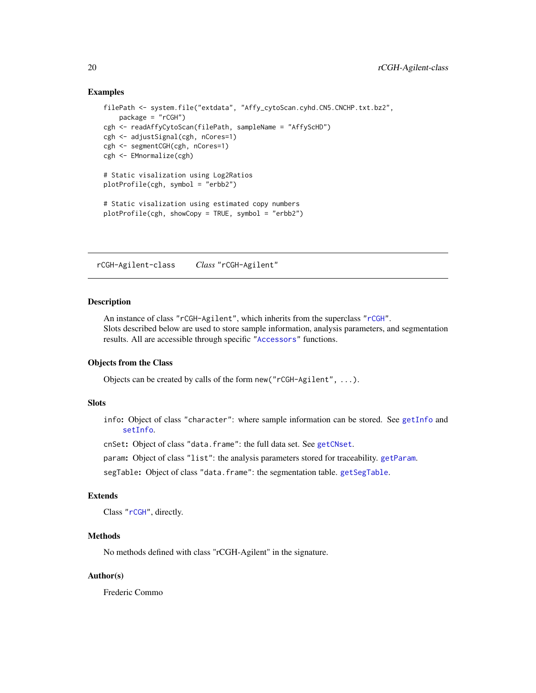## Examples

```
filePath <- system.file("extdata", "Affy_cytoScan.cyhd.CN5.CNCHP.txt.bz2",
   package = "rCGH")
cgh <- readAffyCytoScan(filePath, sampleName = "AffyScHD")
cgh <- adjustSignal(cgh, nCores=1)
cgh <- segmentCGH(cgh, nCores=1)
cgh <- EMnormalize(cgh)
# Static visalization using Log2Ratios
plotProfile(cgh, symbol = "erbb2")
# Static visalization using estimated copy numbers
plotProfile(cgh, showCopy = TRUE, symbol = "erbb2")
```
<span id="page-19-1"></span>rCGH-Agilent-class *Class* "rCGH-Agilent"

#### Description

An instance of class "rCGH-Agilent", which inherits from the superclass ["rCGH"](#page-20-1). Slots described below are used to store sample information, analysis parameters, and segmentation results. All are accessible through specific ["Accessors"](#page-5-1) functions.

#### Objects from the Class

Objects can be created by calls of the form new("rCGH-Agilent", ...).

#### **Slots**

info: Object of class "character": where sample information can be stored. See [getInfo](#page-5-1) and [setInfo](#page-33-1).

cnSet: Object of class "data.frame": the full data set. See [getCNset](#page-5-1).

param: Object of class "list": the analysis parameters stored for traceability. [getParam](#page-5-1).

segTable: Object of class "data.frame": the segmentation table. [getSegTable](#page-5-1).

## Extends

Class ["rCGH"](#page-20-1), directly.

#### Methods

No methods defined with class "rCGH-Agilent" in the signature.

#### Author(s)

Frederic Commo

<span id="page-19-0"></span>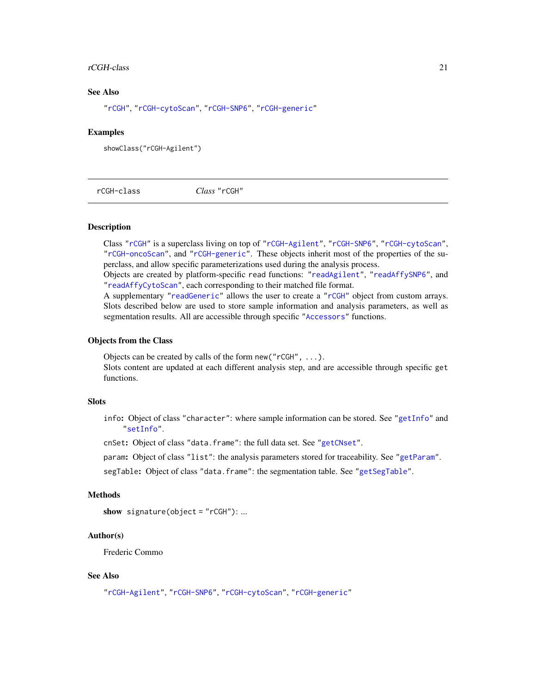#### <span id="page-20-0"></span>rCGH-class 21

#### See Also

["rCGH"](#page-20-1), ["rCGH-cytoScan"](#page-21-1), ["rCGH-SNP6"](#page-24-1), ["rCGH-generic"](#page-22-1)

#### Examples

showClass("rCGH-Agilent")

<span id="page-20-1"></span>rCGH-class *Class* "rCGH"

## **Description**

Class ["rCGH"](#page-20-1) is a superclass living on top of ["rCGH-Agilent"](#page-19-1), ["rCGH-SNP6"](#page-24-1), ["rCGH-cytoScan"](#page-21-1), ["rCGH-oncoScan"](#page-23-1), and ["rCGH-generic"](#page-22-1). These objects inherit most of the properties of the superclass, and allow specific parameterizations used during the analysis process.

Objects are created by platform-specific read functions: ["readAgilent"](#page-28-1), ["readAffySNP6"](#page-27-1), and ["readAffyCytoScan"](#page-25-1), each corresponding to their matched file format.

A supplementary ["readGeneric"](#page-29-1) allows the user to create a ["rCGH"](#page-20-1) object from custom arrays. Slots described below are used to store sample information and analysis parameters, as well as segmentation results. All are accessible through specific ["Accessors"](#page-5-1) functions.

#### Objects from the Class

Objects can be created by calls of the form new ( $"rCGH", \ldots$ ).

Slots content are updated at each different analysis step, and are accessible through specific get functions.

## Slots

info: Object of class "character": where sample information can be stored. See ["getInfo"](#page-5-1) and ["setInfo"](#page-33-1).

cnSet: Object of class "data.frame": the full data set. See ["getCNset"](#page-5-1).

param: Object of class "list": the analysis parameters stored for traceability. See ["getParam"](#page-5-1).

segTable: Object of class "data.frame": the segmentation table. See ["getSegTable"](#page-5-1).

## Methods

```
show signature(object = "rCGH"): ...
```
#### Author(s)

Frederic Commo

## See Also

["rCGH-Agilent"](#page-19-1), ["rCGH-SNP6"](#page-24-1), ["rCGH-cytoScan"](#page-21-1), ["rCGH-generic"](#page-22-1)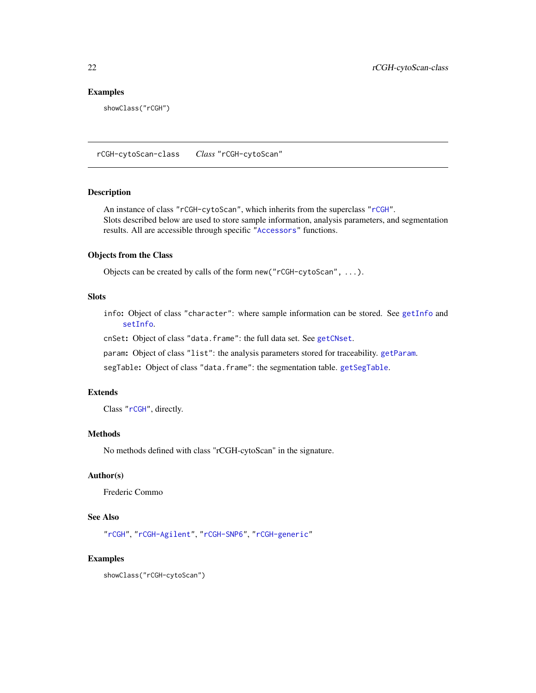## <span id="page-21-0"></span>Examples

showClass("rCGH")

<span id="page-21-1"></span>rCGH-cytoScan-class *Class* "rCGH-cytoScan"

## Description

An instance of class "rCGH-cytoScan", which inherits from the superclass ["rCGH"](#page-20-1). Slots described below are used to store sample information, analysis parameters, and segmentation results. All are accessible through specific ["Accessors"](#page-5-1) functions.

## Objects from the Class

Objects can be created by calls of the form new("rCGH-cytoScan", ...).

## **Slots**

info: Object of class "character": where sample information can be stored. See [getInfo](#page-5-1) and [setInfo](#page-33-1).

cnSet: Object of class "data.frame": the full data set. See [getCNset](#page-5-1).

param: Object of class "list": the analysis parameters stored for traceability. [getParam](#page-5-1).

segTable: Object of class "data.frame": the segmentation table. [getSegTable](#page-5-1).

#### Extends

Class ["rCGH"](#page-20-1), directly.

## Methods

No methods defined with class "rCGH-cytoScan" in the signature.

## Author(s)

Frederic Commo

## See Also

["rCGH"](#page-20-1), ["rCGH-Agilent"](#page-19-1), ["rCGH-SNP6"](#page-24-1), ["rCGH-generic"](#page-22-1)

## Examples

showClass("rCGH-cytoScan")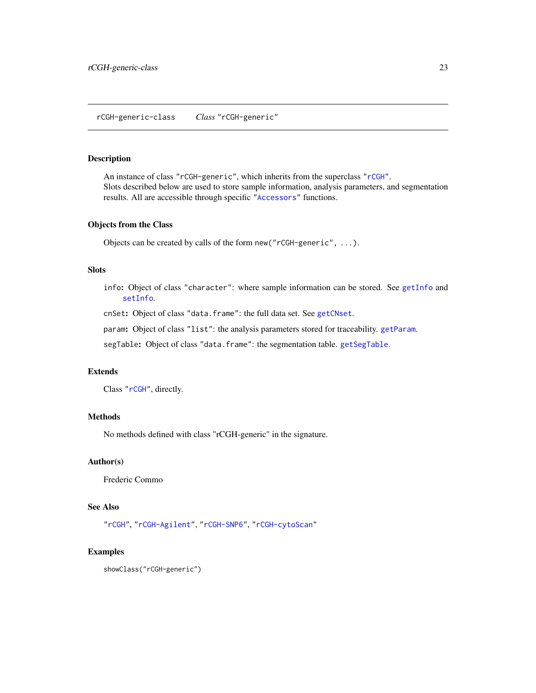## <span id="page-22-1"></span><span id="page-22-0"></span>Description

An instance of class "rCGH-generic", which inherits from the superclass ["rCGH"](#page-20-1). Slots described below are used to store sample information, analysis parameters, and segmentation results. All are accessible through specific ["Accessors"](#page-5-1) functions.

#### Objects from the Class

Objects can be created by calls of the form new("rCGH-generic", ...).

## Slots

info: Object of class "character": where sample information can be stored. See [getInfo](#page-5-1) and [setInfo](#page-33-1).

cnSet: Object of class "data.frame": the full data set. See [getCNset](#page-5-1).

param: Object of class "list": the analysis parameters stored for traceability. [getParam](#page-5-1).

segTable: Object of class "data.frame": the segmentation table.[getSegTable](#page-5-1).

#### Extends

Class ["rCGH"](#page-20-1), directly.

## Methods

No methods defined with class "rCGH-generic" in the signature.

## Author(s)

Frederic Commo

## See Also

["rCGH"](#page-20-1), ["rCGH-Agilent"](#page-19-1), ["rCGH-SNP6"](#page-24-1), ["rCGH-cytoScan"](#page-21-1)

## Examples

showClass("rCGH-generic")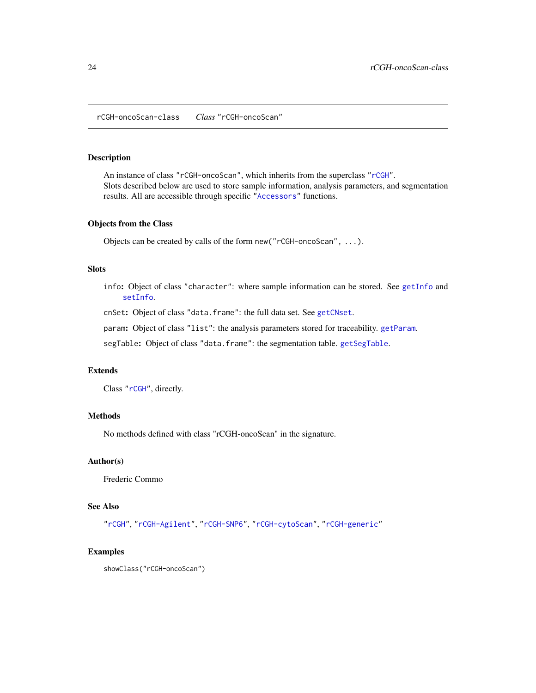<span id="page-23-1"></span><span id="page-23-0"></span>rCGH-oncoScan-class *Class* "rCGH-oncoScan"

#### Description

An instance of class "rCGH-oncoScan", which inherits from the superclass ["rCGH"](#page-20-1). Slots described below are used to store sample information, analysis parameters, and segmentation results. All are accessible through specific ["Accessors"](#page-5-1) functions.

#### Objects from the Class

Objects can be created by calls of the form new("rCGH-oncoScan", ...).

## **Slots**

info: Object of class "character": where sample information can be stored. See [getInfo](#page-5-1) and [setInfo](#page-33-1).

cnSet: Object of class "data.frame": the full data set. See [getCNset](#page-5-1).

param: Object of class "list": the analysis parameters stored for traceability. [getParam](#page-5-1).

segTable: Object of class "data.frame": the segmentation table. [getSegTable](#page-5-1).

## Extends

Class ["rCGH"](#page-20-1), directly.

#### **Methods**

No methods defined with class "rCGH-oncoScan" in the signature.

## Author(s)

Frederic Commo

## See Also

["rCGH"](#page-20-1), ["rCGH-Agilent"](#page-19-1), ["rCGH-SNP6"](#page-24-1), ["rCGH-cytoScan"](#page-21-1), ["rCGH-generic"](#page-22-1)

## Examples

showClass("rCGH-oncoScan")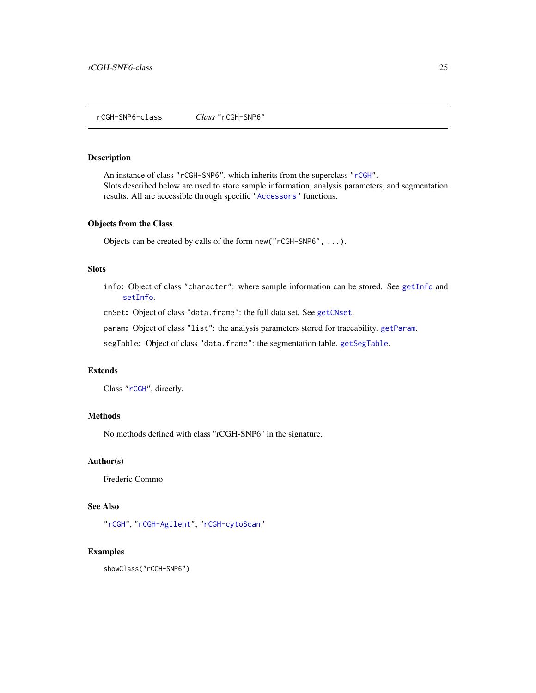#### <span id="page-24-1"></span><span id="page-24-0"></span>Description

An instance of class "rCGH-SNP6", which inherits from the superclass ["rCGH"](#page-20-1). Slots described below are used to store sample information, analysis parameters, and segmentation results. All are accessible through specific ["Accessors"](#page-5-1) functions.

#### Objects from the Class

Objects can be created by calls of the form new("rCGH-SNP6", ...).

## Slots

info: Object of class "character": where sample information can be stored. See [getInfo](#page-5-1) and [setInfo](#page-33-1).

cnSet: Object of class "data.frame": the full data set. See [getCNset](#page-5-1).

param: Object of class "list": the analysis parameters stored for traceability. [getParam](#page-5-1).

segTable: Object of class "data.frame": the segmentation table. [getSegTable](#page-5-1).

## Extends

Class ["rCGH"](#page-20-1), directly.

#### **Methods**

No methods defined with class "rCGH-SNP6" in the signature.

## Author(s)

Frederic Commo

## See Also

["rCGH"](#page-20-1), ["rCGH-Agilent"](#page-19-1), ["rCGH-cytoScan"](#page-21-1)

## Examples

showClass("rCGH-SNP6")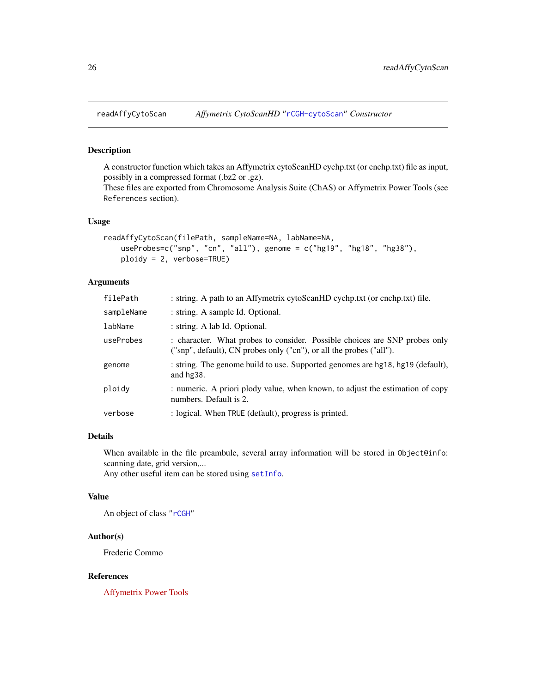<span id="page-25-1"></span><span id="page-25-0"></span>

## Description

A constructor function which takes an Affymetrix cytoScanHD cychp.txt (or cnchp.txt) file as input, possibly in a compressed format (.bz2 or .gz).

These files are exported from Chromosome Analysis Suite (ChAS) or Affymetrix Power Tools (see References section).

## Usage

```
readAffyCytoScan(filePath, sampleName=NA, labName=NA,
   useProbes=c("snp", "cn", "all"), genome = c("hg19", "hg18", "hg38"),
   ploidy = 2, verbose=TRUE)
```
## Arguments

| filePath   | : string. A path to an Affymetrix cytoScanHD cychp.txt (or cnchp.txt) file.                                                                       |
|------------|---------------------------------------------------------------------------------------------------------------------------------------------------|
| sampleName | : string. A sample Id. Optional.                                                                                                                  |
| labName    | : string. A lab Id. Optional.                                                                                                                     |
| useProbes  | : character. What probes to consider. Possible choices are SNP probes only<br>("snp", default), CN probes only ("cn"), or all the probes ("all"). |
| genome     | : string. The genome build to use. Supported genomes are hg18, hg19 (default),<br>and $hg38$ .                                                    |
| ploidy     | : numeric. A priori plody value, when known, to adjust the estimation of copy<br>numbers. Default is 2.                                           |
| verbose    | : logical. When TRUE (default), progress is printed.                                                                                              |

#### Details

When available in the file preambule, several array information will be stored in Object@info: scanning date, grid version,...

Any other useful item can be stored using [setInfo](#page-33-1).

## Value

An object of class ["rCGH"](#page-20-1)

## Author(s)

Frederic Commo

## References

[Affymetrix Power Tools](http://www.affymetrix.com/estore/partners_programs/programs/developer/tools/powertools.affx)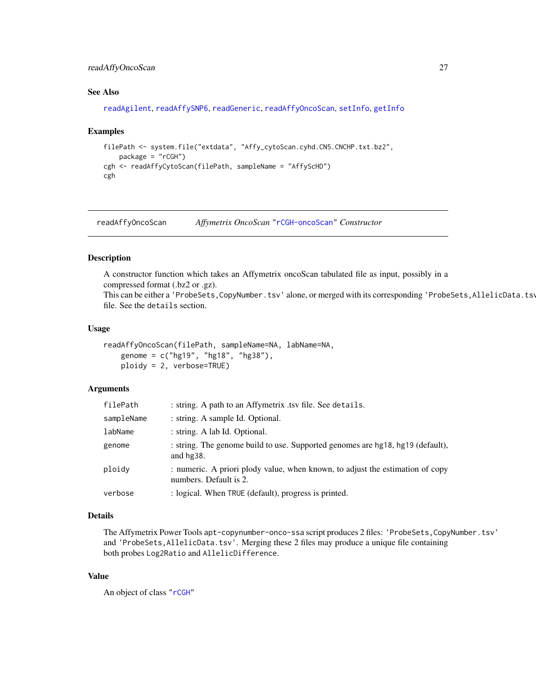## <span id="page-26-0"></span>readAffyOncoScan 27

#### See Also

```
readAgilent, readAffySNP6, readGeneric, readAffyOncoScan, setInfo, getInfo
```
#### Examples

```
filePath <- system.file("extdata", "Affy_cytoScan.cyhd.CN5.CNCHP.txt.bz2",
   package = "rCGH")
cgh <- readAffyCytoScan(filePath, sampleName = "AffyScHD")
cgh
```
<span id="page-26-1"></span>readAffyOncoScan *Affymetrix OncoScan* ["rCGH-oncoScan"](#page-23-1) *Constructor*

#### Description

A constructor function which takes an Affymetrix oncoScan tabulated file as input, possibly in a compressed format (.bz2 or .gz).

This can be either a 'ProbeSets,CopyNumber.tsv' alone, or merged with its corresponding 'ProbeSets,AllelicData.tsv file. See the details section.

#### Usage

```
readAffyOncoScan(filePath, sampleName=NA, labName=NA,
   genome = c("hg19", "hg18", "hg38"),
   ploidy = 2, verbose=TRUE)
```
## Arguments

| filePath   | : string. A path to an Affymetrix .tsv file. See details.                                               |
|------------|---------------------------------------------------------------------------------------------------------|
| sampleName | : string. A sample Id. Optional.                                                                        |
| labName    | : string. A lab Id. Optional.                                                                           |
| genome     | : string. The genome build to use. Supported genomes are hg18, hg19 (default),<br>and $hg38$ .          |
| ploidy     | : numeric. A priori plody value, when known, to adjust the estimation of copy<br>numbers. Default is 2. |
| verbose    | : logical. When TRUE (default), progress is printed.                                                    |

#### Details

The Affymetrix Power Tools apt-copynumber-onco-ssa script produces 2 files: 'ProbeSets,CopyNumber.tsv' and 'ProbeSets,AllelicData.tsv'. Merging these 2 files may produce a unique file containing both probes Log2Ratio and AllelicDifference.

#### Value

An object of class ["rCGH"](#page-20-1)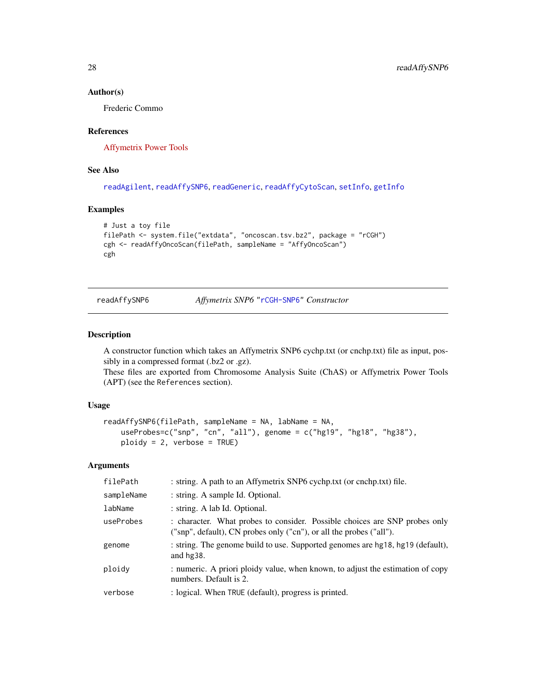#### Author(s)

Frederic Commo

## References

[Affymetrix Power Tools](http://www.affymetrix.com/estore/partners_programs/programs/developer/tools/powertools.affx)

## See Also

[readAgilent](#page-28-1), [readAffySNP6](#page-27-1), [readGeneric](#page-29-1), [readAffyCytoScan](#page-25-1), [setInfo](#page-33-1), [getInfo](#page-5-1)

#### Examples

```
# Just a toy file
filePath <- system.file("extdata", "oncoscan.tsv.bz2", package = "rCGH")
cgh <- readAffyOncoScan(filePath, sampleName = "AffyOncoScan")
cgh
```
<span id="page-27-1"></span>

readAffySNP6 *Affymetrix SNP6* ["rCGH-SNP6"](#page-24-1) *Constructor*

#### Description

A constructor function which takes an Affymetrix SNP6 cychp.txt (or cnchp.txt) file as input, possibly in a compressed format (.bz2 or .gz).

These files are exported from Chromosome Analysis Suite (ChAS) or Affymetrix Power Tools (APT) (see the References section).

## Usage

```
readAffySNP6(filePath, sampleName = NA, labName = NA,
   useProbes=c("snp", "cn", "all"), genome = c("hg19", "hg18", "hg38"),
   ploidy = 2, verbose = TRUE)
```
#### Arguments

| filePath   | : string. A path to an Affymetrix SNP6 cychp.txt (or cnchp.txt) file.                                                                             |
|------------|---------------------------------------------------------------------------------------------------------------------------------------------------|
| sampleName | : string. A sample Id. Optional.                                                                                                                  |
| labName    | : string. A lab Id. Optional.                                                                                                                     |
| useProbes  | : character. What probes to consider. Possible choices are SNP probes only<br>("snp", default), CN probes only ("cn"), or all the probes ("all"). |
| genome     | : string. The genome build to use. Supported genomes are hg18, hg19 (default),<br>and $hq38$ .                                                    |
| ploidy     | : numeric. A priori ploidy value, when known, to adjust the estimation of copy<br>numbers. Default is 2.                                          |
| verbose    | : logical. When TRUE (default), progress is printed.                                                                                              |

<span id="page-27-0"></span>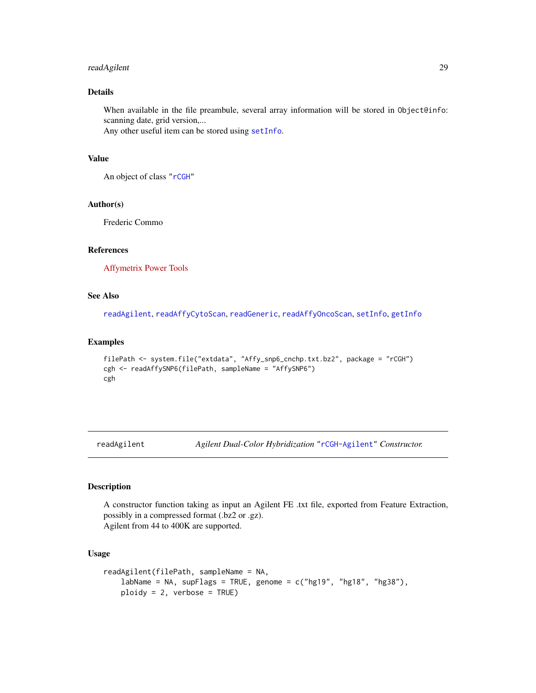## <span id="page-28-0"></span>readAgilent 29

## Details

When available in the file preambule, several array information will be stored in Object@info: scanning date, grid version,...

Any other useful item can be stored using [setInfo](#page-33-1).

## Value

An object of class ["rCGH"](#page-20-1)

#### Author(s)

Frederic Commo

## References

[Affymetrix Power Tools](http://www.affymetrix.com/estore/partners_programs/programs/developer/tools/powertools.affx)

#### See Also

[readAgilent](#page-28-1), [readAffyCytoScan](#page-25-1), [readGeneric](#page-29-1), [readAffyOncoScan](#page-26-1), [setInfo](#page-33-1), [getInfo](#page-5-1)

#### Examples

```
filePath <- system.file("extdata", "Affy_snp6_cnchp.txt.bz2", package = "rCGH")
cgh <- readAffySNP6(filePath, sampleName = "AffySNP6")
cgh
```
<span id="page-28-1"></span>readAgilent *Agilent Dual-Color Hybridization* ["rCGH-Agilent"](#page-19-1) *Constructor.*

## Description

A constructor function taking as input an Agilent FE .txt file, exported from Feature Extraction, possibly in a compressed format (.bz2 or .gz). Agilent from 44 to 400K are supported.

#### Usage

```
readAgilent(filePath, sampleName = NA,
   labName = NA, supFlags = TRUE, genome = c("hg19", "hg18", "hg38"),
   ploidy = 2, verbose = TRUE)
```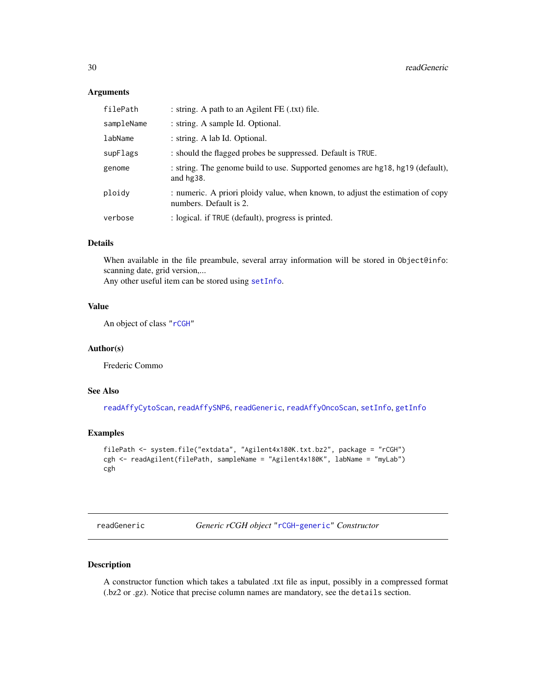#### <span id="page-29-0"></span>Arguments

| filePath   | : string. A path to an Agilent FE (.txt) file.                                                           |
|------------|----------------------------------------------------------------------------------------------------------|
| sampleName | : string. A sample Id. Optional.                                                                         |
| labName    | : string. A lab Id. Optional.                                                                            |
| supFlags   | : should the flagged probes be suppressed. Default is TRUE.                                              |
| genome     | : string. The genome build to use. Supported genomes are hg18, hg19 (default),<br>and $hg38$ .           |
| ploidy     | : numeric. A priori ploidy value, when known, to adjust the estimation of copy<br>numbers. Default is 2. |
| verbose    | : logical. if TRUE (default), progress is printed.                                                       |

## Details

When available in the file preambule, several array information will be stored in Object@info: scanning date, grid version,...

Any other useful item can be stored using [setInfo](#page-33-1).

## Value

An object of class ["rCGH"](#page-20-1)

#### Author(s)

Frederic Commo

## See Also

[readAffyCytoScan](#page-25-1), [readAffySNP6](#page-27-1), [readGeneric](#page-29-1), [readAffyOncoScan](#page-26-1), [setInfo](#page-33-1), [getInfo](#page-5-1)

## Examples

```
filePath <- system.file("extdata", "Agilent4x180K.txt.bz2", package = "rCGH")
cgh <- readAgilent(filePath, sampleName = "Agilent4x180K", labName = "myLab")
cgh
```
<span id="page-29-1"></span>readGeneric *Generic rCGH object* ["rCGH-generic"](#page-22-1) *Constructor*

## Description

A constructor function which takes a tabulated .txt file as input, possibly in a compressed format (.bz2 or .gz). Notice that precise column names are mandatory, see the details section.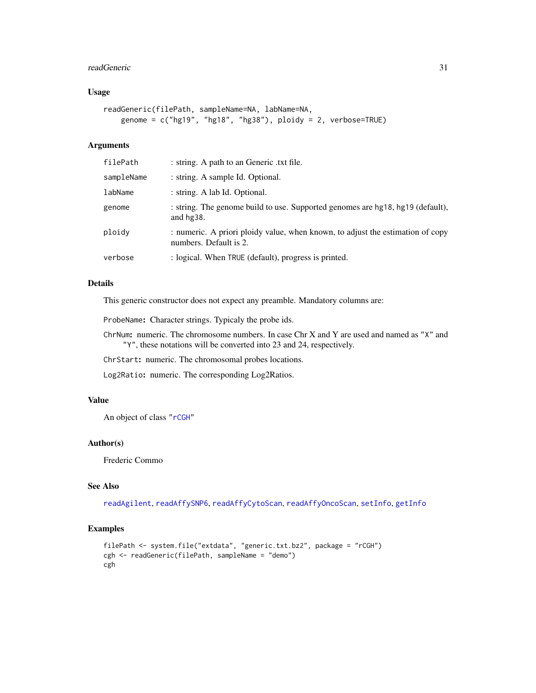#### <span id="page-30-0"></span>readGeneric 31

## Usage

```
readGeneric(filePath, sampleName=NA, labName=NA,
   genome = c("hg19", "hg18", "hg38"), ploidy = 2, verbose=TRUE)
```
#### Arguments

| filePath   | : string. A path to an Generic .txt file.                                                                |
|------------|----------------------------------------------------------------------------------------------------------|
| sampleName | : string. A sample Id. Optional.                                                                         |
| labName    | : string. A lab Id. Optional.                                                                            |
| genome     | : string. The genome build to use. Supported genomes are hg18, hg19 (default),<br>and $hg38$ .           |
| ploidy     | : numeric. A priori ploidy value, when known, to adjust the estimation of copy<br>numbers. Default is 2. |
| verbose    | : logical. When TRUE (default), progress is printed.                                                     |

## Details

This generic constructor does not expect any preamble. Mandatory columns are:

ProbeName: Character strings. Typicaly the probe ids.

ChrNum: numeric. The chromosome numbers. In case Chr X and Y are used and named as "X" and "Y", these notations will be converted into 23 and 24, respectively.

ChrStart: numeric. The chromosomal probes locations.

Log2Ratio: numeric. The corresponding Log2Ratios.

## Value

An object of class ["rCGH"](#page-20-1)

## Author(s)

Frederic Commo

## See Also

[readAgilent](#page-28-1), [readAffySNP6](#page-27-1), [readAffyCytoScan](#page-25-1), [readAffyOncoScan](#page-26-1), [setInfo](#page-33-1), [getInfo](#page-5-1)

```
filePath <- system.file("extdata", "generic.txt.bz2", package = "rCGH")
cgh <- readGeneric(filePath, sampleName = "demo")
cgh
```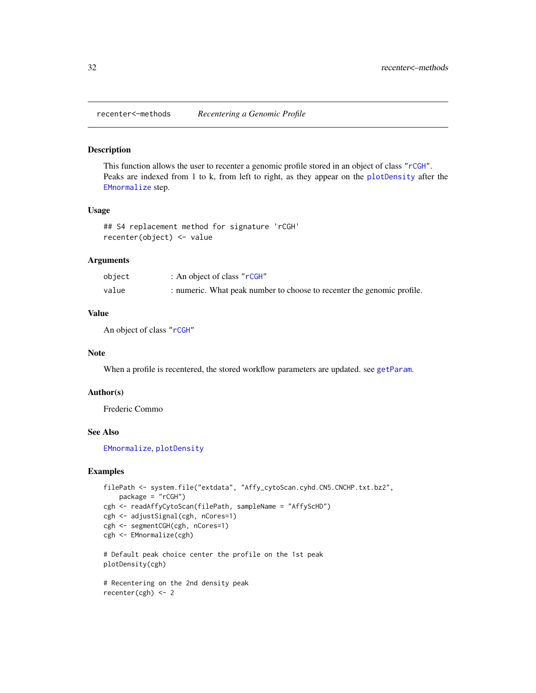<span id="page-31-0"></span>recenter<–methods *Recentering a Genomic Profile*

#### Description

This function allows the user to recenter a genomic profile stored in an object of class ["rCGH"](#page-20-1). Peaks are indexed from 1 to k, from left to right, as they appear on the [plotDensity](#page-16-1) after the [EMnormalize](#page-8-1) step.

#### Usage

```
## S4 replacement method for signature 'rCGH'
recenter(object) <- value
```
#### Arguments

| object | : An object of class "rCGH"                                            |
|--------|------------------------------------------------------------------------|
| value  | : numeric. What peak number to choose to recenter the genomic profile. |

## Value

An object of class ["rCGH"](#page-20-1)

#### **Note**

When a profile is recentered, the stored workflow parameters are updated. see [getParam](#page-5-1).

#### Author(s)

Frederic Commo

recenter(cgh) <- 2

## See Also

[EMnormalize](#page-8-1), [plotDensity](#page-16-1)

```
filePath <- system.file("extdata", "Affy_cytoScan.cyhd.CN5.CNCHP.txt.bz2",
   package = "rCGH")cgh <- readAffyCytoScan(filePath, sampleName = "AffyScHD")
cgh <- adjustSignal(cgh, nCores=1)
cgh <- segmentCGH(cgh, nCores=1)
cgh <- EMnormalize(cgh)
# Default peak choice center the profile on the 1st peak
plotDensity(cgh)
# Recentering on the 2nd density peak
```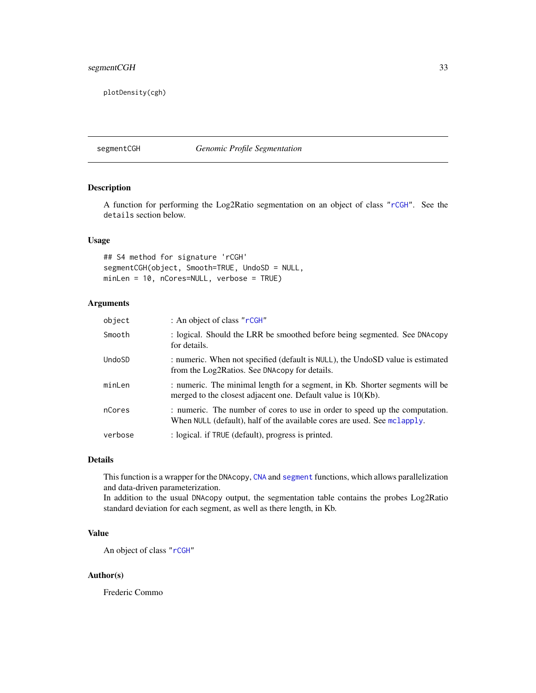## <span id="page-32-0"></span>segmentCGH 33

plotDensity(cgh)

<span id="page-32-1"></span>segmentCGH *Genomic Profile Segmentation*

## Description

A function for performing the Log2Ratio segmentation on an object of class ["rCGH"](#page-20-1). See the details section below.

## Usage

## S4 method for signature 'rCGH' segmentCGH(object, Smooth=TRUE, UndoSD = NULL, minLen = 10, nCores=NULL, verbose = TRUE)

## Arguments

| object  | : An object of class "rCGH"                                                                                                                             |
|---------|---------------------------------------------------------------------------------------------------------------------------------------------------------|
| Smooth  | : logical. Should the LRR be smoothed before being segmented. See DNAcopy<br>for details.                                                               |
| UndoSD  | : numeric. When not specified (default is NULL), the UndoSD value is estimated<br>from the Log2Ratios. See DNAcopy for details.                         |
| minLen  | : numeric. The minimal length for a segment, in Kb. Shorter segments will be<br>merged to the closest adjacent one. Default value is 10(Kb).            |
| nCores  | : numeric. The number of cores to use in order to speed up the computation.<br>When NULL (default), half of the available cores are used. See mclapply. |
| verbose | : logical. if TRUE (default), progress is printed.                                                                                                      |

## Details

This function is a wrapper for the DNAcopy, [CNA](#page-0-0) and [segment](#page-0-0) functions, which allows parallelization and data-driven parameterization.

In addition to the usual DNAcopy output, the segmentation table contains the probes Log2Ratio standard deviation for each segment, as well as there length, in Kb.

## Value

An object of class ["rCGH"](#page-20-1)

#### Author(s)

Frederic Commo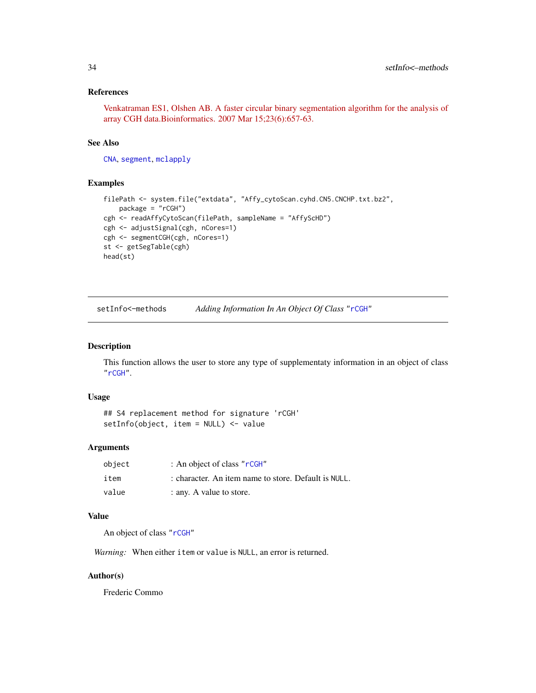## <span id="page-33-0"></span>References

[Venkatraman ES1, Olshen AB. A faster circular binary segmentation algorithm for the analysis of](http://www.ncbi.nlm.nih.gov/pubmed/17234643) [array CGH data.Bioinformatics. 2007 Mar 15;23\(6\):657-63.](http://www.ncbi.nlm.nih.gov/pubmed/17234643)

## See Also

[CNA](#page-0-0), [segment](#page-0-0), [mclapply](#page-0-0)

## Examples

```
filePath <- system.file("extdata", "Affy_cytoScan.cyhd.CN5.CNCHP.txt.bz2",
   package = "rCGH")
cgh <- readAffyCytoScan(filePath, sampleName = "AffyScHD")
cgh <- adjustSignal(cgh, nCores=1)
cgh <- segmentCGH(cgh, nCores=1)
st <- getSegTable(cgh)
head(st)
```
setInfo<–methods *Adding Information In An Object Of Class* ["rCGH"](#page-20-1)

## <span id="page-33-1"></span>Description

This function allows the user to store any type of supplementaty information in an object of class ["rCGH"](#page-20-1).

#### Usage

```
## S4 replacement method for signature 'rCGH'
setInfo(object, item = NULL) <- value
```
#### Arguments

| object | : An object of class "rCGH"                          |
|--------|------------------------------------------------------|
| item   | : character. An item name to store. Default is NULL. |
| value  | : any. A value to store.                             |

## Value

An object of class ["rCGH"](#page-20-1)

*Warning:* When either item or value is NULL, an error is returned.

#### Author(s)

Frederic Commo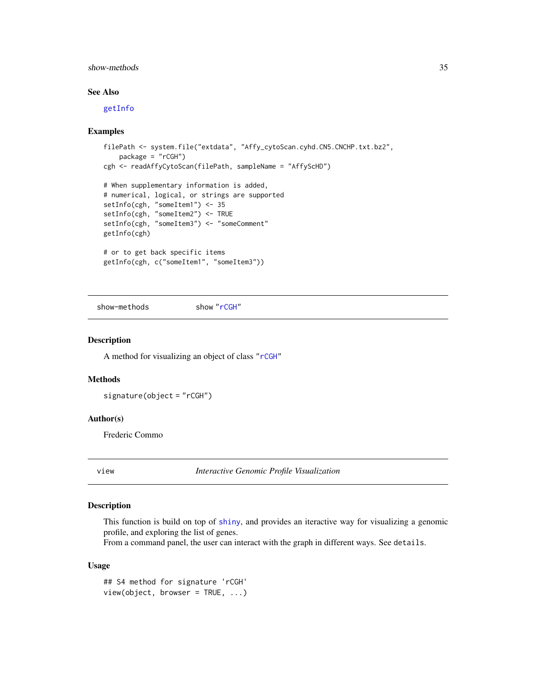## <span id="page-34-0"></span>show-methods 35

## See Also

[getInfo](#page-5-1)

#### Examples

```
filePath <- system.file("extdata", "Affy_cytoScan.cyhd.CN5.CNCHP.txt.bz2",
   package = "rCGH")cgh <- readAffyCytoScan(filePath, sampleName = "AffyScHD")
# When supplementary information is added,
# numerical, logical, or strings are supported
setInfo(cgh, "someItem1") <- 35
setInfo(cgh, "someItem2") <- TRUE
setInfo(cgh, "someItem3") <- "someComment"
getInfo(cgh)
# or to get back specific items
getInfo(cgh, c("someItem1", "someItem3"))
```
show-methods show ["rCGH"](#page-20-1)

#### Description

A method for visualizing an object of class ["rCGH"](#page-20-1)

#### Methods

signature(object = "rCGH")

#### Author(s)

Frederic Commo

<span id="page-34-1"></span>

view *Interactive Genomic Profile Visualization*

## Description

This function is build on top of [shiny](#page-0-0), and provides an iteractive way for visualizing a genomic profile, and exploring the list of genes.

From a command panel, the user can interact with the graph in different ways. See details.

#### Usage

## S4 method for signature 'rCGH' view(object, browser = TRUE, ...)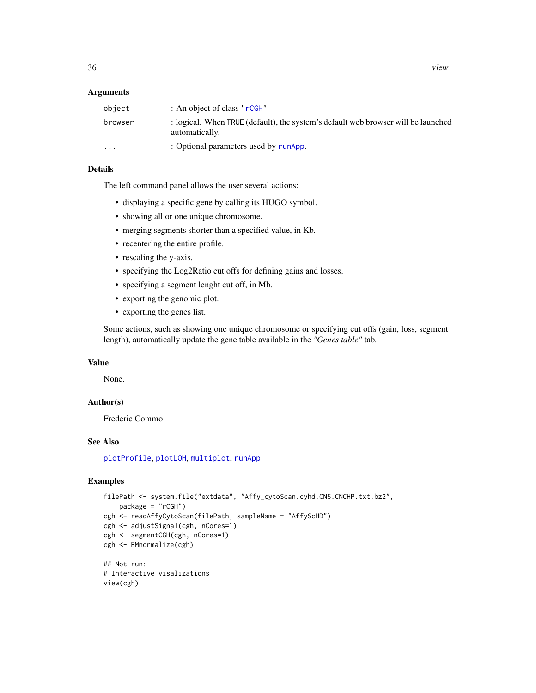#### <span id="page-35-0"></span>**Arguments**

| object  | : An object of class " $r$ CGH"                                                                     |
|---------|-----------------------------------------------------------------------------------------------------|
| browser | : logical. When TRUE (default), the system's default web browser will be launched<br>automatically. |
| $\cdot$ | : Optional parameters used by runApp.                                                               |

## Details

The left command panel allows the user several actions:

- displaying a specific gene by calling its HUGO symbol.
- showing all or one unique chromosome.
- merging segments shorter than a specified value, in Kb.
- recentering the entire profile.
- rescaling the y-axis.
- specifying the Log2Ratio cut offs for defining gains and losses.
- specifying a segment lenght cut off, in Mb.
- exporting the genomic plot.
- exporting the genes list.

Some actions, such as showing one unique chromosome or specifying cut offs (gain, loss, segment length), automatically update the gene table available in the *"Genes table"* tab.

#### Value

None.

## Author(s)

Frederic Commo

#### See Also

[plotProfile](#page-18-1), [plotLOH](#page-17-1), [multiplot](#page-14-1), [runApp](#page-0-0)

```
filePath <- system.file("extdata", "Affy_cytoScan.cyhd.CN5.CNCHP.txt.bz2",
   package = "rCGH")cgh <- readAffyCytoScan(filePath, sampleName = "AffyScHD")
cgh <- adjustSignal(cgh, nCores=1)
cgh <- segmentCGH(cgh, nCores=1)
cgh <- EMnormalize(cgh)
## Not run:
# Interactive visalizations
```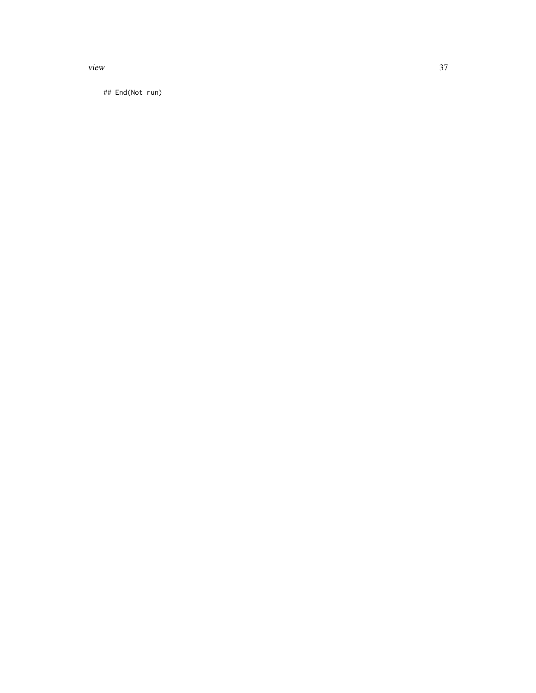view 37

## End(Not run)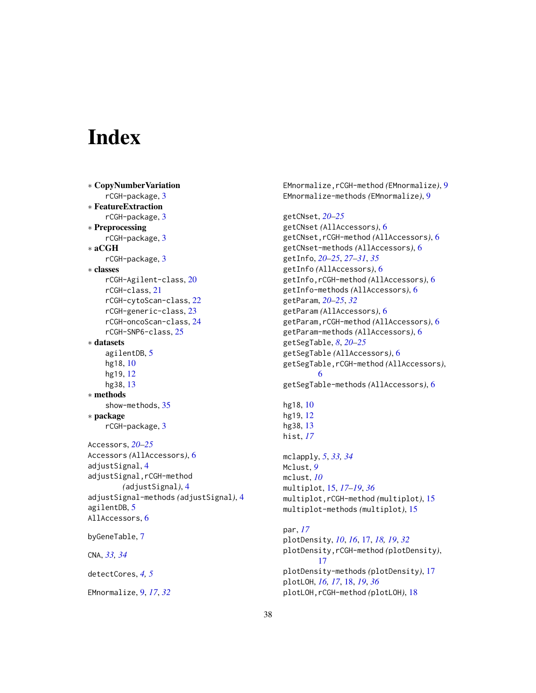# <span id="page-37-0"></span>**Index**

```
∗ CopyNumberVariation
    rCGH-package, 3
∗ FeatureExtraction
    rCGH-package, 3
∗ Preprocessing
    rCGH-package, 3
∗ aCGH
    rCGH-package, 3
∗ classes
    rCGH-Agilent-class, 20
    rCGH-class, 21
    rCGH-cytoScan-class, 22
    rCGH-generic-class, 23
    rCGH-oncoScan-class, 24
    rCGH-SNP6-class, 25
∗ datasets
    agilentDB, 5
    hg18, 10
    hg19, 12
    hg38, 13
∗ methods
    show-methods, 35
∗ package
    rCGH-package, 3
Accessors, 20–25
Accessors (AllAccessors), 6
adjustSignal, 4
adjustSignal,rCGH-method
        (adjustSignal), 4
adjustSignal-methods (adjustSignal), 4
agilentDB, 5
AllAccessors, 6
byGeneTable, 7
CNA, 33, 34
detectCores, 4, 5
EMnormalize, 9, 17, 32
```
EMnormalize,rCGH-method *(*EMnormalize*)*, [9](#page-8-0) EMnormalize-methods *(*EMnormalize*)*, [9](#page-8-0) getCNset, *[20](#page-19-0)[–25](#page-24-0)* getCNset *(*AllAccessors*)*, [6](#page-5-0) getCNset,rCGH-method *(*AllAccessors*)*, [6](#page-5-0) getCNset-methods *(*AllAccessors*)*, [6](#page-5-0) getInfo, *[20](#page-19-0)[–25](#page-24-0)*, *[27](#page-26-0)[–31](#page-30-0)*, *[35](#page-34-0)* getInfo *(*AllAccessors*)*, [6](#page-5-0) getInfo,rCGH-method *(*AllAccessors*)*, [6](#page-5-0) getInfo-methods *(*AllAccessors*)*, [6](#page-5-0) getParam, *[20](#page-19-0)[–25](#page-24-0)*, *[32](#page-31-0)* getParam *(*AllAccessors*)*, [6](#page-5-0) getParam,rCGH-method *(*AllAccessors*)*, [6](#page-5-0) getParam-methods *(*AllAccessors*)*, [6](#page-5-0) getSegTable, *[8](#page-7-0)*, *[20](#page-19-0)[–25](#page-24-0)* getSegTable *(*AllAccessors*)*, [6](#page-5-0) getSegTable,rCGH-method *(*AllAccessors*)*, [6](#page-5-0) getSegTable-methods *(*AllAccessors*)*, [6](#page-5-0) hg18, [10](#page-9-0) hg19, [12](#page-11-0) hg38, [13](#page-12-0) hist, *[17](#page-16-0)* mclapply, *[5](#page-4-0)*, *[33,](#page-32-0) [34](#page-33-0)* Mclust, *[9](#page-8-0)* mclust, *[10](#page-9-0)* multiplot, [15,](#page-14-0) *[17](#page-16-0)[–19](#page-18-0)*, *[36](#page-35-0)* multiplot,rCGH-method *(*multiplot*)*, [15](#page-14-0) multiplot-methods *(*multiplot*)*, [15](#page-14-0) par, *[17](#page-16-0)* plotDensity, *[10](#page-9-0)*, *[16](#page-15-0)*, [17,](#page-16-0) *[18,](#page-17-0) [19](#page-18-0)*, *[32](#page-31-0)* plotDensity,rCGH-method *(*plotDensity*)*, [17](#page-16-0)

plotDensity-methods *(*plotDensity*)*, [17](#page-16-0)

plotLOH,rCGH-method *(*plotLOH*)*, [18](#page-17-0)

plotLOH, *[16,](#page-15-0) [17](#page-16-0)*, [18,](#page-17-0) *[19](#page-18-0)*, *[36](#page-35-0)*